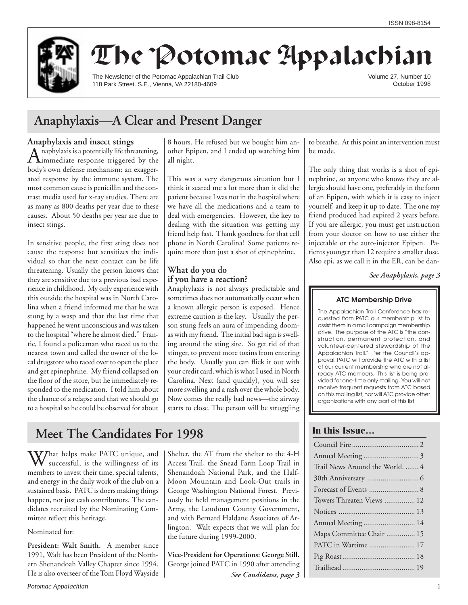

# The Potomac Appalachian

The Newsletter of the Potomac Appalachian Trail Club 118 Park Street. S.E., Vienna, VA 22180-4609

Volume 27, Number 10 October 1998

# **Anaphylaxis—A Clear and Present Danger**

**Anaphylaxis and insect stings**<br> **A** naphylaxis is a potentially life threatening, A naphylaxis is a potentially life threatening,<br>immediate response triggered by the body's own defense mechanism: an exaggerated response by the immune system. The most common cause is penicillin and the contrast media used for x-ray studies. There are as many as 800 deaths per year due to these causes. About 50 deaths per year are due to insect stings.

In sensitive people, the first sting does not cause the response but sensitizes the individual so that the next contact can be life threatening. Usually the person knows that they are sensitive due to a previous bad experience in childhood. My only experience with this outside the hospital was in North Carolina when a friend informed me that he was stung by a wasp and that the last time that happened he went unconscious and was taken to the hospital "where he almost died." Frantic, I found a policeman who raced us to the nearest town and called the owner of the local drugstore who raced over to open the place and get epinephrine. My friend collapsed on the floor of the store, but he immediately responded to the medication. I told him about the chance of a relapse and that we should go to a hospital so he could be observed for about 8 hours. He refused but we bought him another Epipen, and I ended up watching him all night.

This was a very dangerous situation but I think it scared me a lot more than it did the patient because I was not in the hospital where we have all the medications and a team to deal with emergencies. However, the key to dealing with the situation was getting my friend help fast. Thank goodness for that cell phone in North Carolina! Some patients require more than just a shot of epinephrine.

# **What do you do if you have a reaction?**

Anaphylaxis is not always predictable and sometimes does not automatically occur when a known allergic person is exposed. Hence extreme caution is the key. Usually the person stung feels an aura of impending doomas with my friend. The initial bad sign is swelling around the sting site. So get rid of that stinger, to prevent more toxins from entering the body. Usually you can flick it out with your credit card, which is what I used in North Carolina. Next (and quickly), you will see more swelling and a rash over the whole body. Now comes the really bad news—the airway starts to close. The person will be struggling

# **Meet The Candidates For 1998**

What helps make PATC unique, and successful, is the willingness of its members to invest their time, special talents, and energy in the daily work of the club on a sustained basis. PATC is doers making things happen, not just cash contributors. The candidates recruited by the Nominating Committee reflect this heritage.

Nominated for:

**President: Walt Smith.** A member since 1991, Walt has been President of the Northern Shenandoah Valley Chapter since 1994. He is also overseer of the Tom Floyd Wayside Shelter, the AT from the shelter to the 4-H Access Trail, the Snead Farm Loop Trail in Shenandoah National Park, and the Half-Moon Mountain and Look-Out trails in George Washington National Forest. Previously he held management positions in the Army, the Loudoun County Government, and with Bernard Haldane Associates of Arlington. Walt expects that we will plan for the future during 1999-2000.

**Vice-President for Operations: George Still.** George joined PATC in 1990 after attending *See Candidates, page 3* to breathe. At this point an intervention must be made.

The only thing that works is a shot of epinephrine, so anyone who knows they are allergic should have one, preferably in the form of an Epipen, with which it is easy to inject yourself, and keep it up to date. The one my friend produced had expired 2 years before. If you are allergic, you must get instruction from your doctor on how to use either the injectable or the auto-injector Epipen. Patients younger than 12 require a smaller dose. Also epi, as we call it in the ER, can be dan-

*See Anaphylaxis, page 3*

### **ATC Membership Drive**

The Appalachian Trail Conference has requested from PATC our membership list to assist them in a mail campaign membership drive. The purpose of the ATC is "the construction, permanent protection, and volunteer-centered stewardship of the Appalachian Trail." Per the Council's approval, PATC will provide the ATC with a list of our current membership who are not already ATC members. This list is being provided for one-time only mailing. You will not receive frequent requests from ATC based on this mailing list, nor will ATC provide other organizations with any part of this list.

# **In this Issue…**

| Trail News Around the World.  4 |
|---------------------------------|
|                                 |
|                                 |
| Towers Threaten Views  12       |
|                                 |
| Annual Meeting  14              |
| Maps Committee Chair  15        |
| PATC in Wartime  17             |
|                                 |
|                                 |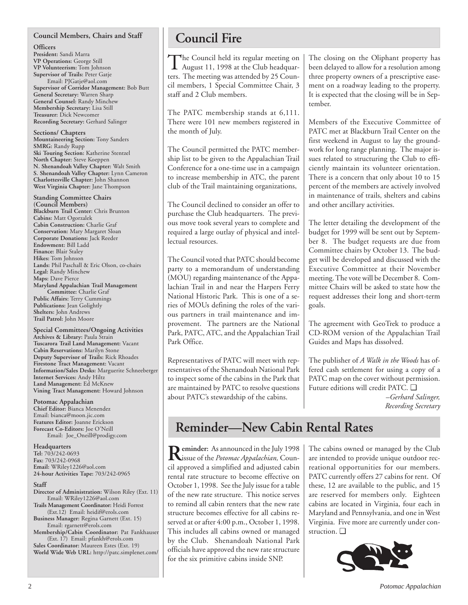### **Council Members, Chairs and Staff**

**Officers**

**President:** Sandi Marra **VP Operations:** George Still **VP Volunteerism:** Tom Johnson **Supervisor of Trails:** Peter Gatje Email: PJGatje@aol.com **Supervisor of Corridor Management:** Bob Butt **General Secretary:** Warren Sharp **General Counsel:** Randy Minchew **Membership Secretary:** Lisa Still **Treasurer:** Dick Newcomer **Recording Secretary:** Gerhard Salinger

**Sections/ Chapters Mountaineering Section:** Tony Sanders **SMRG:** Randy Rupp **Ski Touring Section:** Katherine Stentzel **North Chapter:** Steve Koeppen **N. Shenandoah Valley Chapter:** Walt Smith **S. Shenandoah Valley Chapter:** Lynn Cameron **Charlottesville Chapter:** John Shannon **West Virginia Chapter:** Jane Thompson

**Standing Committee Chairs (Council Members) Blackburn Trail Center:** Chris Brunton **Cabins:** Matt Ogorzalek **Cabin Construction:** Charlie Graf **Conservation:** Mary Margaret Sloan **Corporate Donations:** Jack Reeder **Endowment:** Bill Ladd **Finance:** Blair Staley **Hikes:** Tom Johnson **Lands:** Phil Paschall & Eric Olson, co-chairs **Legal:** Randy Minchew **Maps:** Dave Pierce **Maryland Appalachian Trail Management Committee:** Charlie Graf **Public Affairs:** Terry Cummings **Publications:** Jean Golightly **Shelters:** John Andrews **Trail Patrol:** John Moore

**Special Committees/Ongoing Activities Archives & Library:** Paula Strain **Tuscarora Trail Land Management:** Vacant **Cabin Reservations:** Marilyn Stone **Deputy Supervisor of Trails:** Rick Rhoades **Firestone Tract Management:** Vacant **Information/Sales Desks:** Marguerite Schneeberger **Internet Services:** Andy Hiltz **Land Management:** Ed McKnew **Vining Tract Management:** Howard Johnson

### **Potomac Appalachian**

**Chief Editor:** Bianca Menendez Email: bianca@moon.jic.com **Features Editor:** Joanne Erickson **Forecast Co-Editors:** Joe O'Neill Email: Joe\_Oneill@prodigy.com

**Headquarters Tel:** 703/242-0693 **Fax:** 703/242-0968 **Email:** WRiley1226@aol.com **24-hour Activities Tape:** 703/242-0965

#### **Staff**

- **Director of Administration:** Wilson Riley (Ext. 11) Email: WRiley1226@aol.com **Trails Management Coordinator:** Heidi Forrest
- (Ext.12) Email: heidif@erols.com **Business Manager:** Regina Garnett (Ext. 15)

Email: rgarnett@erols.com **Membership/Cabin Coordinator:** Pat Fankhauser

(Ext. 17) Email: pfankh@erols.com **Sales Coordinator:** Maureen Estes (Ext. 19) **World Wide Web URL:** http://patc.simplenet.com/

# **Council Fire**

The Council held its regular meeting on<br>August 11, 1998 at the Club headquarters. The meeting was attended by 25 Council members, 1 Special Committee Chair, 3 staff and 2 Club members.

The PATC membership stands at 6,111. There were 101 new members registered in the month of July.

The Council permitted the PATC membership list to be given to the Appalachian Trail Conference for a one-time use in a campaign to increase membership in ATC, the parent club of the Trail maintaining organizations,

The Council declined to consider an offer to purchase the Club headquarters. The previous move took several years to complete and required a large outlay of physical and intellectual resources.

The Council voted that PATC should become party to a memorandum of understanding (MOU) regarding maintenance of the Appalachian Trail in and near the Harpers Ferry National Historic Park. This is one of a series of MOUs defining the roles of the various partners in trail maintenance and improvement. The partners are the National Park, PATC, ATC, and the Appalachian Trail Park Office.

Representatives of PATC will meet with representatives of the Shenandoah National Park to inspect some of the cabins in the Park that are maintained by PATC to resolve questions about PATC's stewardship of the cabins.

The closing on the Oliphant property has been delayed to allow for a resolution among three property owners of a prescriptive easement on a roadway leading to the property. It is expected that the closing will be in September.

Members of the Executive Committee of PATC met at Blackburn Trail Center on the first weekend in August to lay the groundwork for long range planning. The major issues related to structuring the Club to efficiently maintain its volunteer orientation. There is a concern that only about 10 to 15 percent of the members are actively involved in maintenance of trails, shelters and cabins and other ancillary activities.

The letter detailing the development of the budget for 1999 will be sent out by September 8. The budget requests are due from Committee chairs by October 13. The budget will be developed and discussed with the Executive Committee at their November meeting. The vote will be December 8. Committee Chairs will be asked to state how the request addresses their long and short-term goals.

The agreement with GeoTrek to produce a CD-ROM version of the Appalachian Trail Guides and Maps has dissolved.

The publisher of *A Walk in the Woods* has offered cash settlement for using a copy of a PATC map on the cover without permission. Future editions will credit PATC. ❑

> *–Gerhard Salinger, Recording Secretary*

# **Reminder—New Cabin Rental Rates**

**Reminder:** As announced in the July 1998<br>issue of the *Potomac Appalachian*, Council approved a simplified and adjusted cabin rental rate structure to become effective on October 1, 1998. See the July issue for a table of the new rate structure. This notice serves to remind all cabin renters that the new rate structure becomes effective for all cabins reserved at or after 4:00 p.m., October 1, 1998. This includes all cabins owned or managed by the Club. Shenandoah National Park officials have approved the new rate structure for the six primitive cabins inside SNP.

The cabins owned or managed by the Club are intended to provide unique outdoor recreational opportunities for our members. PATC currently offers 27 cabins for rent. Of these, 12 are available to the public, and 15 are reserved for members only. Eighteen cabins are located in Virginia, four each in Maryland and Pennsylvania, and one in West Virginia. Five more are currently under construction. ❑

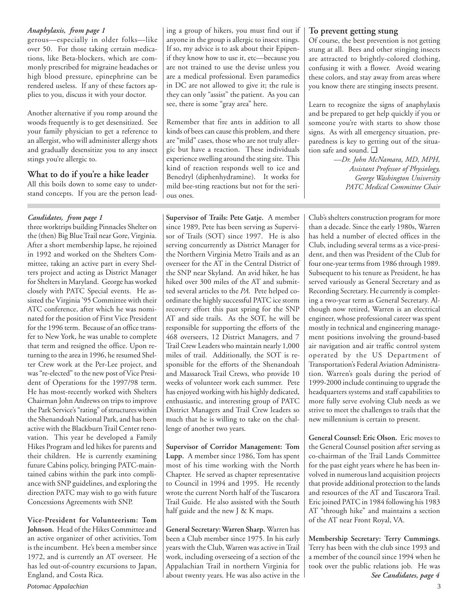### *Anaphylaxis, from page 1*

gerous—especially in older folks—like over 50. For those taking certain medications, like Beta-blockers, which are commonly prescribed for migraine headaches or high blood pressure, epinephrine can be rendered useless. If any of these factors applies to you, discuss it with your doctor.

Another alternative if you romp around the woods frequently is to get desensitized. See your family physician to get a reference to an allergist, who will administer allergy shots and gradually desensitize you to any insect stings you're allergic to.

# **What to do if you're a hike leader**

All this boils down to some easy to understand concepts. If you are the person lead-

three worktrips building Pinnacles Shelter on the (then) Big Blue Trail near Gore, Virginia. After a short membership lapse, he rejoined in 1992 and worked on the Shelters Committee, taking an active part in every Shelters project and acting as District Manager for Shelters in Maryland. George has worked closely with PATC Special events. He assisted the Virginia '95 Committee with their ATC conference, after which he was nominated for the position of First Vice President for the 1996 term. Because of an office transfer to New York, he was unable to complete that term and resigned the office. Upon returning to the area in 1996, he resumed Shelter Crew work at the Per-Lee project, and was "re-elected" to the new post of Vice President of Operations for the 1997/98 term. He has most-recently worked with Shelters Chairman John Andrews on trips to improve the Park Service's "rating" of structures within the Shenandoah National Park, and has been active with the Blackburn Trail Center renovation. This year he developed a Family Hikes Program and led hikes for parents and their children. He is currently examining future Cabins policy, bringing PATC-maintained cabins within the park into compliance with SNP guidelines, and exploring the direction PATC may wish to go with future Concessions Agreements with SNP.

**Vice-President for Volunteerism: Tom Johnson.** Head of the Hikes Committee and an active organizer of other activities, Tom is the incumbent. He's been a member since 1972, and is currently an AT overseer. He has led out-of-country excursions to Japan, England, and Costa Rica.

ing a group of hikers, you must find out if anyone in the group is allergic to insect stings. If so, my advice is to ask about their Epipenif they know how to use it, etc—because you are not trained to use the devise unless you are a medical professional. Even paramedics in DC are not allowed to give it; the rule is they can only "assist" the patient. As you can see, there is some "gray area" here.

Remember that fire ants in addition to all kinds of bees can cause this problem, and there are "mild" cases, those who are not truly allergic but have a reaction. These individuals experience swelling around the sting site. This kind of reaction responds well to ice and Benedryl (diphenhydramine). It works for mild bee-sting reactions but not for the serious ones.

*Candidates, from page 1* **Supervisor of Trails: Pete Gatje.** A member since 1989, Pete has been serving as Supervisor of Trails (SOT) since 1997. He is also serving concurrently as District Manager for the Northern Virginia Metro Trails and as an overseer for the AT in the Central District of the SNP near Skyland. An avid hiker, he has hiked over 300 miles of the AT and submitted several articles to the *PA.* Pete helped coordinate the highly successful PATC ice storm recovery effort this past spring for the SNP AT and side trails. As the SOT, he will be responsible for supporting the efforts of the 468 overseers, 12 District Managers, and 7 Trail Crew Leaders who maintain nearly 1,000 miles of trail. Additionally, the SOT is responsible for the efforts of the Shenandoah and Massarock Trail Crews, who provide 10 weeks of volunteer work each summer. Pete has enjoyed working with his highly dedicated, enthusiastic, and interesting group of PATC District Managers and Trail Crew leaders so much that he is willing to take on the challenge of another two years.

> **Supervisor of Corridor Management: Tom Lupp.** A member since 1986, Tom has spent most of his time working with the North Chapter. He served as chapter representative to Council in 1994 and 1995. He recently wrote the current North half of the Tuscarora Trail Guide. He also assisted with the South half guide and the new J & K maps.

> **General Secretary: Warren Sharp.** Warren has been a Club member since 1975. In his early years with the Club, Warren was active in Trail work, including overseeing of a section of the Appalachian Trail in northern Virginia for about twenty years. He was also active in the

### **To prevent getting stung**

Of course, the best prevention is not getting stung at all. Bees and other stinging insects are attracted to brightly-colored clothing, confusing it with a flower. Avoid wearing these colors, and stay away from areas where you know there are stinging insects present.

Learn to recognize the signs of anaphylaxis and be prepared to get help quickly if you or someone you're with starts to show those signs. As with all emergency situation, preparedness is key to getting out of the situation safe and sound. ❑

> *—Dr. John McNamara, MD, MPH, Assistant Professor of Physiology, George Washington University PATC Medical Committee Chair*

Club's shelters construction program for more than a decade. Since the early 1980s, Warren has held a number of elected offices in the Club, including several terms as a vice-president, and then was President of the Club for four one-year terms from 1986 through 1989. Subsequent to his tenure as President, he has served variously as General Secretary and as Recording Secretary. He currently is completing a two-year term as General Secretary. Although now retired, Warren is an electrical engineer, whose professional career was spent mostly in technical and engineering management positions involving the ground-based air navigation and air traffic control system operated by the US Department of Transportation's Federal Aviation Administration. Warren's goals during the period of 1999-2000 include continuing to upgrade the headquarters systems and staff capabilities to more fully serve evolving Club needs as we strive to meet the challenges to trails that the new millennium is certain to present.

**General Counsel: Eric Olson.** Eric moves to the General Counsel position after serving as co-chairman of the Trail Lands Committee for the past eight years where he has been involved in numerous land acquisition projects that provide additional protection to the lands and resources of the AT and Tuscarora Trail. Eric joined PATC in 1984 following his 1983 AT "through hike" and maintains a section of the AT near Front Royal, VA.

**Membership Secretary: Terry Cummings.** Terry has been with the club since 1993 and a member of the council since 1994 when he took over the public relations job. He was *See Candidates, page 4*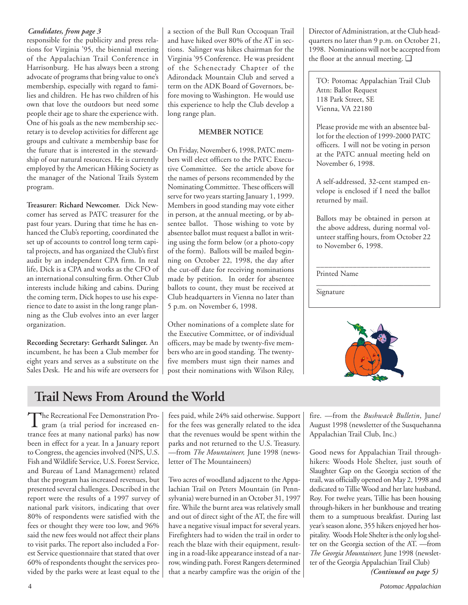### *Candidates, from page 3*

responsible for the publicity and press relations for Virginia '95, the biennial meeting of the Appalachian Trail Conference in Harrisonburg. He has always been a strong advocate of programs that bring value to one's membership, especially with regard to families and children. He has two children of his own that love the outdoors but need some people their age to share the experience with. One of his goals as the new membership secretary is to develop activities for different age groups and cultivate a membership base for the future that is interested in the stewardship of our natural resources. He is currently employed by the American Hiking Society as the manager of the National Trails System program.

**Treasurer: Richard Newcomer.** Dick Newcomer has served as PATC treasurer for the past four years. During that time he has enhanced the Club's reporting, coordinated the set up of accounts to control long term capital projects, and has organized the Club's first audit by an independent CPA firm. In real life, Dick is a CPA and works as the CFO of an international consulting firm. Other Club interests include hiking and cabins. During the coming term, Dick hopes to use his experience to date to assist in the long range planning as the Club evolves into an ever larger organization.

**Recording Secretary: Gerhardt Salinger.** An incumbent, he has been a Club member for eight years and serves as a substitute on the Sales Desk. He and his wife are overseers for a section of the Bull Run Occoquan Trail and have hiked over 80% of the AT in sections. Salinger was hikes chairman for the Virginia '95 Conference. He was president of the Schenectady Chapter of the Adirondack Mountain Club and served a term on the ADK Board of Governors, before moving to Washington. He would use this experience to help the Club develop a long range plan.

# **MEMBER NOTICE**

On Friday, November 6, 1998, PATC members will elect officers to the PATC Executive Committee. See the article above for the names of persons recommended by the Nominating Committee. These officers will serve for two years starting January 1, 1999. Members in good standing may vote either in person, at the annual meeting, or by absentee ballot. Those wishing to vote by absentee ballot must request a ballot in writing using the form below (or a photo-copy of the form). Ballots will be mailed beginning on October 22, 1998, the day after the cut-off date for receiving nominations made by petition. In order for absentee ballots to count, they must be received at Club headquarters in Vienna no later than 5 p.m. on November 6, 1998.

Other nominations of a complete slate for the Executive Committee, or of individual officers, may be made by twenty-five members who are in good standing. The twentyfive members must sign their names and post their nominations with Wilson Riley, Director of Administration, at the Club headquarters no later than 9 p.m. on October 21, 1998. Nominations will not be accepted from the floor at the annual meeting. ❑

TO: Potomac Appalachian Trail Club Attn: Ballot Request 118 Park Street, SE Vienna, VA 22180

Please provide me with an absentee ballot for the election of 1999-2000 PATC officers. I will not be voting in person at the PATC annual meeting held on November 6, 1998.

A self-addressed, 32-cent stamped envelope is enclosed if I need the ballot returned by mail.

Ballots may be obtained in person at the above address, during normal volunteer staffing hours, from October 22 to November 6, 1998.

\_\_\_\_\_\_\_\_\_\_\_\_\_\_\_\_\_\_\_\_\_\_\_\_\_\_\_\_\_\_

\_\_\_\_\_\_\_\_\_\_\_\_\_\_\_\_\_\_\_\_\_\_\_\_\_\_\_\_ Printed Name

Signature



# **Trail News From Around the World**

The Recreational Fee Demonstration Pro-<br>gram (a trial period for increased entrance fees at many national parks) has now been in effect for a year. In a January report to Congress, the agencies involved (NPS, U.S. Fish and Wildlife Service, U.S. Forest Service, and Bureau of Land Management) related that the program has increased revenues, but presented several challenges. Described in the report were the results of a 1997 survey of national park visitors, indicating that over 80% of respondents were satisfied with the fees or thought they were too low, and 96% said the new fees would not affect their plans to visit parks. The report also included a Forest Service questionnaire that stated that over 60% of respondents thought the services provided by the parks were at least equal to the fees paid, while 24% said otherwise. Support for the fees was generally related to the idea that the revenues would be spent within the parks and not returned to the U.S. Treasury. —from *The Mountaineer,* June 1998 (newsletter of The Mountaineers)

Two acres of woodland adjacent to the Appalachian Trail on Peters Mountain (in Pennsylvania) were burned in an October 31, 1997 fire. While the burnt area was relatively small and out of direct sight of the AT, the fire will have a negative visual impact for several years. Firefighters had to widen the trail in order to reach the blaze with their equipment, resulting in a road-like appearance instead of a narrow, winding path. Forest Rangers determined that a nearby campfire was the origin of the

fire. —from the *Bushwack Bulletin*, June/ August 1998 (newsletter of the Susquehanna Appalachian Trail Club, Inc.)

Good news for Appalachian Trail throughhikers: Woods Hole Shelter, just south of Slaughter Gap on the Georgia section of the trail, was officially opened on May 2, 1998 and dedicated to Tillie Wood and her late husband, Roy. For twelve years, Tillie has been housing through-hikers in her bunkhouse and treating them to a sumptuous breakfast. During last year's season alone, 355 hikers enjoyed her hospitality. Woods Hole Shelter is the only log shelter on the Georgia section of the AT. —from *The Georgia Mountaineer,* June 1998 (newsletter of the Georgia Appalachian Trail Club)

*(Continued on page 5)*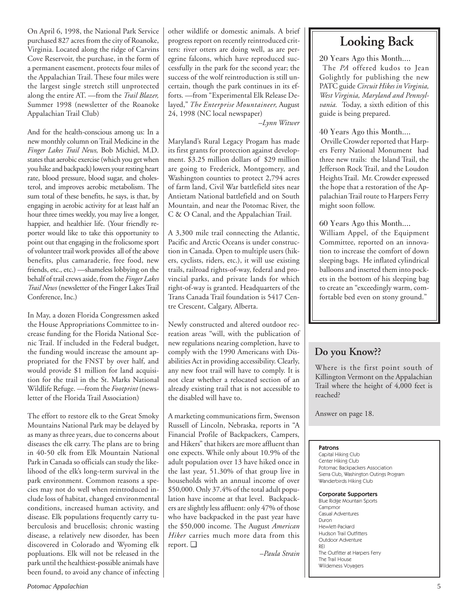On April 6, 1998, the National Park Service purchased 827 acres from the city of Roanoke, Virginia. Located along the ridge of Carvins Cove Reservoir, the purchase, in the form of a permanent easement, protects four miles of the Appalachian Trail. These four miles were the largest single stretch still unprotected along the entire AT. —from the *Trail Blazer,* Summer 1998 (newsletter of the Roanoke Appalachian Trail Club)

And for the health-conscious among us: In a new monthly column on Trail Medicine in the *Finger Lakes Trail News,* Bob Michiel, M.D. states that aerobic exercise (which you get when you hike and backpack) lowers your resting heart rate, blood pressure, blood sugar, and cholesterol, and improves aerobic metabolism. The sum total of these benefits, he says, is that, by engaging in aerobic activity for at least half an hour three times weekly, you may live a longer, happier, and healthier life. (Your friendly reporter would like to take this opportunity to point out that engaging in the frolicsome sport of volunteer trail work provides all of the above benefits, plus camaraderie, free food, new friends, etc., etc.) —shameless lobbying on the behalf of trail crews aside, from the *Finger Lakes Trail News* (newsletter of the Finger Lakes Trail Conference, Inc.)

In May, a dozen Florida Congressmen asked the House Appropriations Committee to increase funding for the Florida National Scenic Trail. If included in the Federal budget, the funding would increase the amount appropriated for the FNST by over half, and would provide \$1 million for land acquisition for the trail in the St. Marks National Wildlife Refuge. —from the *Footprint* (newsletter of the Florida Trail Association)

The effort to restore elk to the Great Smoky Mountains National Park may be delayed by as many as three years, due to concerns about diseases the elk carry. The plans are to bring in 40-50 elk from Elk Mountain National Park in Canada so officials can study the likelihood of the elk's long-term survival in the park environment. Common reasons a species may not do well when reintroduced include loss of habitat, changed environmental conditions, increased human activity, and disease. Elk populations frequently carry tuberculosis and brucellosis; chronic wasting disease, a relatively new disorder, has been discovered in Colorado and Wyoming elk popluations. Elk will not be released in the park until the healthiest-possible animals have been found, to avoid any chance of infecting other wildlife or domestic animals. A brief progress report on recently reintroduced critters: river otters are doing well, as are peregrine falcons, which have reproduced successfully in the park for the second year; the success of the wolf reintroduction is still uncertain, though the park continues in its efforts. —from "Experimental Elk Release Delayed," *The Enterprise Mountaineer,* August 24, 1998 (NC local newspaper)

*–Lynn Witwer*

Maryland's Rural Legacy Progam has made its first grants for protection against development. \$3.25 million dollars of \$29 million are going to Frederick, Montgomery, and Washington counties to protect 2,794 acres of farm land, Civil War battlefield sites near Antietam National battlefield and on South Mountain, and near the Potomac River, the C & O Canal, and the Appalachian Trail.

A 3,300 mile trail connecting the Atlantic, Pacific and Arctic Oceans is under construction in Canada. Open to multiple users (hikers, cyclists, riders, etc.), it will use existing trails, railroad rights-of-way, federal and provincial parks, and private lands for which right-of-way is granted. Headquarters of the Trans Canada Trail foundation is 5417 Centre Crescent, Calgary, Alberta.

Newly constructed and altered outdoor recreation areas "will, with the publication of new regulations nearing completion, have to comply with the 1990 Americans with Disabilities Act in providing accessibility. Clearly, any new foot trail will have to comply. It is not clear whether a relocated section of an already existing trail that is not accessible to the disabled will have to.

A marketing communications firm, Swenson Russell of Lincoln, Nebraska, reports in "A Financial Profile of Backpackers, Campers, and Hikers" that hikers are more affluent than one expects. While only about 10.9% of the adult population over 13 have hiked once in the last year, 51.30% of that group live in households with an annual income of over \$50,000. Only 37.4% of the total adult population have income at that level. Backpackers are slightly less affluent: only 47% of those who have backpacked in the past year have the \$50,000 income. The August *American Hiker* carries much more data from this report. ❑

*–Paula Strain*

# **Looking Back**

20 Years Ago this Month....

 The *PA* offered kudos to Jean Golightly for publishing the new PATC guide *Circuit Hikes in Virginia, West Virginia, Maryland and Pennsylvania.* Today, a sixth edition of this guide is being prepared.

40 Years Ago this Month....

 Orville Crowder reported that Harpers Ferry National Monument had three new trails: the Island Trail, the Jefferson Rock Trail, and the Loudon Heights Trail. Mr. Crowder expressed the hope that a restoration of the Appalachian Trail route to Harpers Ferry might soon follow.

60 Years Ago this Month....

William Appel, of the Equipment Committee, reported on an innovation to increase the comfort of down sleeping bags. He inflated cylindrical balloons and inserted them into pockets in the bottom of his sleeping bag to create an "exceedingly warm, comfortable bed even on stony ground."

# **Do you Know??**

Where is the first point south of Killington Vermont on the Appalachian Trail where the height of 4,000 feet is reached?

Answer on page 18.

### Patrons

Capital Hiking Club Center Hiking Club Potomac Backpackers Association Sierra Club, Washington Outings Program Wanderbirds Hiking Club

### Corporate Supporters

Blue Ridge Mountain Sports **Campmor** Casual Adventures Duron Hewlett-Packard Hudson Trail Outfitters Outdoor Adventure REI The Outfitter at Harpers Ferry The Trail House Wilderness Voyagers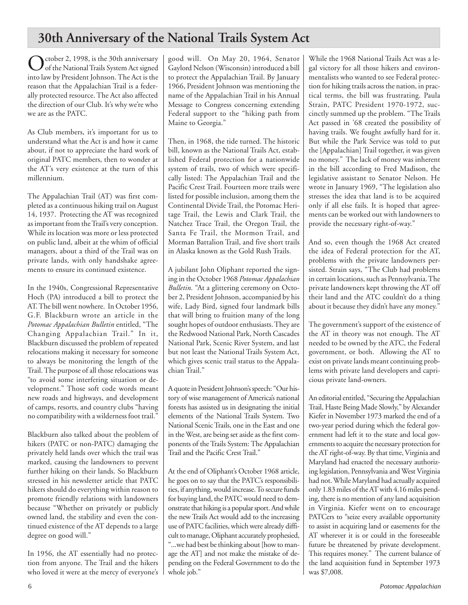# **30th Anniversary of the National Trails System Act**

October 2, 1998, is the 30th anniversary<br>
of the National Trails System Act signed into law by President Johnson. The Act is the reason that the Appalachian Trail is a federally protected resource. The Act also affected the direction of our Club. It's why we're who we are as the PATC.

As Club members, it's important for us to understand what the Act is and how it came about, if not to appreciate the hard work of original PATC members, then to wonder at the AT's very existence at the turn of this millennium.

The Appalachian Trail (AT) was first completed as a continuous hiking trail on August 14, 1937. Protecting the AT was recognized as important from the Trail's very conception. While its location was more or less protected on public land, albeit at the whim of official managers, about a third of the Trail was on private lands, with only handshake agreements to ensure its continued existence.

In the 1940s, Congressional Representative Hoch (PA) introduced a bill to protect the AT. The bill went nowhere. In October 1956, G.F. Blackburn wrote an article in the *Potomac Appalachian Bulletin* entitled, "The Changing Appalachian Trail." In it, Blackburn discussed the problem of repeated relocations making it necessary for someone to always be monitoring the length of the Trail. The purpose of all those relocations was "to avoid some interfering situation or development." Those soft code words meant new roads and highways, and development of camps, resorts, and country clubs "having no compatibility with a wilderness foot trail."

Blackburn also talked about the problem of hikers (PATC or non-PATC) damaging the privately held lands over which the trail was marked, causing the landowners to prevent further hiking on their lands. So Blackburn stressed in his newsletter article that PATC hikers should do everything within reason to promote friendly relations with landowners because "Whether on privately or publicly owned land, the stability and even the continued existence of the AT depends to a large degree on good will."

In 1956, the AT essentially had no protection from anyone. The Trail and the hikers who loved it were at the mercy of everyone's

good will. On May 20, 1964, Senator Gaylord Nelson (Wisconsin) introduced a bill to protect the Appalachian Trail. By January 1966, President Johnson was mentioning the name of the Appalachian Trail in his Annual Message to Congress concerning extending Federal support to the "hiking path from Maine to Georgia."

Then, in 1968, the tide turned. The historic bill, known as the National Trails Act, established Federal protection for a nationwide system of trails, two of which were specifically listed: The Appalachian Trail and the Pacific Crest Trail. Fourteen more trails were listed for possible inclusion, among them the Continental Divide Trail, the Potomac Heritage Trail, the Lewis and Clark Trail, the Natchez Trace Trail, the Oregon Trail, the Santa Fe Trail, the Mormon Trail, and Morman Battalion Trail, and five short trails in Alaska known as the Gold Rush Trails.

A jubilant John Oliphant reported the signing in the October 1968 *Potomac Appalachian Bulletin.* "At a glittering ceremony on October 2, President Johnson, accompanied by his wife, Lady Bird, signed four landmark bills that will bring to fruition many of the long sought hopes of outdoor enthusiasts. They are the Redwood National Park, North Cascades National Park, Scenic River System, and last but not least the National Trails System Act, which gives scenic trail status to the Appalachian Trail."

A quote in President Johnson's speech: "Our history of wise management of America's national forests has assisted us in designating the initial elements of the National Trails System. Two National Scenic Trails, one in the East and one in the West, are being set aside as the first components of the Trails System: The Appalachian Trail and the Pacific Crest Trail."

At the end of Oliphant's October 1968 article, he goes on to say that the PATC's responsibilities, if anything, would increase. To secure funds for buying land, the PATC would need to demonstrate that hiking is a popular sport. And while the new Trails Act would add to the increasing use of PATC facilities, which were already difficult to manage, Oliphant accurately prophesied, "...we had best be thinking about [how to manage the AT] and not make the mistake of depending on the Federal Government to do the whole job."

While the 1968 National Trails Act was a legal victory for all those hikers and environmentalists who wanted to see Federal protection for hiking trails across the nation, in practical terms, the bill was frustrating. Paula Strain, PATC President 1970-1972, succinctly summed up the problem. "The Trails Act passed in '68 created the possibility of having trails. We fought awfully hard for it. But while the Park Service was told to put the [Appalachian] Trail together, it was given no money." The lack of money was inherent in the bill according to Fred Madison, the legislative assistant to Senator Nelson. He wrote in January 1969, "The legislation also stresses the idea that land is to be acquired only if all else fails. It is hoped that agreements can be worked out with landowners to provide the necessary right-of-way."

And so, even though the 1968 Act created the idea of Federal protection for the AT, problems with the private landowners persisted. Strain says, "The Club had problems in certain locations, such as Pennsylvania. The private landowners kept throwing the AT off their land and the ATC couldn't do a thing about it because they didn't have any money."

The government's support of the existence of the AT in theory was not enough. The AT needed to be owned by the ATC, the Federal government, or both. Allowing the AT to exist on private lands meant continuing problems with private land developers and capricious private land-owners.

An editorial entitled, "Securing the Appalachian Trail, Haste Being Made Slowly," by Alexander Kiefer in November 1973 marked the end of a two-year period during which the federal government had left it to the state and local governments to acquire the necessary protection for the AT right-of-way. By that time, Virginia and Maryland had enacted the necessary authorizing legislation, Pennsylvania and West Virginia had not. While Maryland had actually acquired only 1.83 miles of the AT with 4.16 miles pending, there is no mention of any land acquisition in Virginia. Kiefer went on to encourage PATCers to "seize every available opportunity to assist in acquiring land or easements for the AT wherever it is or could in the foreseeable future be threatened by private development. This requires money." The current balance of the land acquisition fund in September 1973 was \$7,008.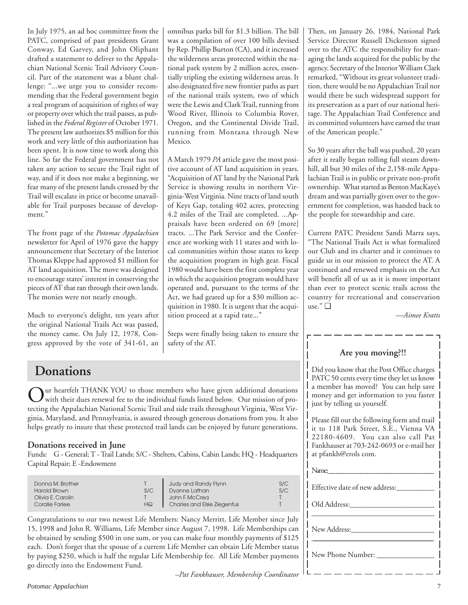In July 1975, an ad hoc committee from the PATC, comprised of past presidents Grant Conway, Ed Garvey, and John Oliphant drafted a statement to deliver to the Appalachian National Scenic Trail Advisory Council. Part of the statement was a blunt challenge: "...we urge you to consider recommending that the Federal government begin a real program of acquisition of rights of way or property over which the trail passes, as published in the *Federal Register* of October 1971. The present law authorizes \$5 million for this work and very little of this authorization has been spent. It is now time to work along this line. So far the Federal government has not taken any action to secure the Trail right of way, and if it does not make a beginning, we fear many of the present lands crossed by the Trail will escalate in price or become unavailable for Trail purposes because of development."

The front page of the *Potomac Appalachian* newsletter for April of 1976 gave the happy announcement that Secretary of the Interior Thomas Kleppe had approved \$1 million for AT land acquisition. The move was designed to encourage states' interest in conserving the pieces of AT that ran through their own lands. The monies were not nearly enough.

Much to everyone's delight, ten years after the original National Trails Act was passed, the money came. On July 12, 1978, Congress approved by the vote of 341-61, an omnibus parks bill for \$1.3 billion. The bill was a compilation of over 100 bills devised by Rep. Phillip Burton (CA), and it increased the wilderness areas protected within the national park system by 2 million acres, essentially tripling the existing wilderness areas. It also designated five new frontier paths as part of the national trails system, two of which were the Lewis and Clark Trail, running from Wood River, Illinois to Columbia Rover, Oregon, and the Continental Divide Trail, running from Montana through New Mexico.

A March 1979 *PA* article gave the most positive account of AT land acquisition in years. "Acquisition of AT land by the National Park Service is showing results in northern Virginia-West Virginia. Nine tracts of land south of Keys Gap, totaling 402 acres, protecting 4.2 miles of the Trail are completed. ...Appraisals have been ordered on 69 [more] tracts. ...The Park Service and the Conference are working with 11 states and with local communities within those states to keep the acquisition program in high gear. Fiscal 1980 would have been the first complete year in which the acquisition program would have operated and, pursuant to the terms of the Act, we had geared up for a \$30 million acquisition in 1980. It is urgent that the acquisition proceed at a rapid rate..."

Steps were finally being taken to ensure the safety of the AT.

Then, on January 26, 1984, National Park Service Director Russell Dickenson signed over to the ATC the responsibility for managing the lands acquired for the public by the agency. Secretary of the Interior William Clark remarked, "Without its great volunteer tradition, there would be no Appalachian Trail nor would there be such widespread support for its preservation as a part of our national heritage. The Appalachian Trail Conference and its committed volunteers have earned the trust of the American people."

So 30 years after the ball was pushed, 20 years after it really began rolling full steam downhill, all but 30 miles of the 2,158-mile Appalachian Trail is in public or private non-profit ownership. What started as Benton MacKaye's dream and was partially given over to the government for completion, was handed back to the people for stewardship and care.

Current PATC President Sandi Marra says, "The National Trails Act is what formalized our Club and its charter and it continues to guide us in our mission to protect the AT. A continued and renewed emphasis on the Act will benefit all of us as it is more important than ever to protect scenic trails across the country for recreational and conservation use." ❑

*—Aimee Kratts*

ur heartfelt THANK YOU to those members who have given additional donations with their dues renewal fee to the individual funds listed below. Our mission of protecting the Appalachian National Scenic Trail and side trails throughout Virginia, West Virginia, Maryland, and Pennsylvania, is assured through generous donations from you. It also helps greatly to insure that these protected trail lands can be enjoyed by future generations.

# **Donations received in June**

Funds: G - General; T - Trail Lands; S/C - Shelters, Cabins, Cabin Lands; HQ - Headquarters Capital Repair; E -Endowment

| Donna M. Brother<br>Harold Brown<br>Olivia E. Carolin | S/C | Judy and Randy Flynn<br>Dyanne Lathan<br>John F. McCrea | S/C<br>S/C |
|-------------------------------------------------------|-----|---------------------------------------------------------|------------|
|                                                       |     |                                                         |            |
| Coralie Farlee                                        | HQ  | <b>Charles and Elsie Ziegenfus</b>                      |            |

Congratulations to our two newest Life Members: Nancy Merritt, Life Member since July 15, 1998 and John R. Williams, Life Member since August 7, 1998. Life Memberships can be obtained by sending \$500 in one sum, or you can make four monthly payments of \$125 each. Don't forget that the spouse of a current Life Member can obtain Life Member status by paying \$250, which is half the regular Life Membership fee. All Life Member payments go directly into the Endowment Fund.

*–Pat Fankhauser, Membership Coordinator*

# **Are you moving?!!**

Did you know that the Post Office charges PATC 50 cents every time they let us know a member has moved? You can help save money and get information to you faster just by telling us yourself.

Please fill out the following form and mail it to 118 Park Street, S.E., Vienna VA 22180-4609. You can also call Pat Fankhauser at 703-242-0693 or e-mail her at pfankh@erols com.

| Name:                          |  |
|--------------------------------|--|
| Effective date of new address: |  |
| Old Address:                   |  |
|                                |  |
|                                |  |
| New Phone Number: _____        |  |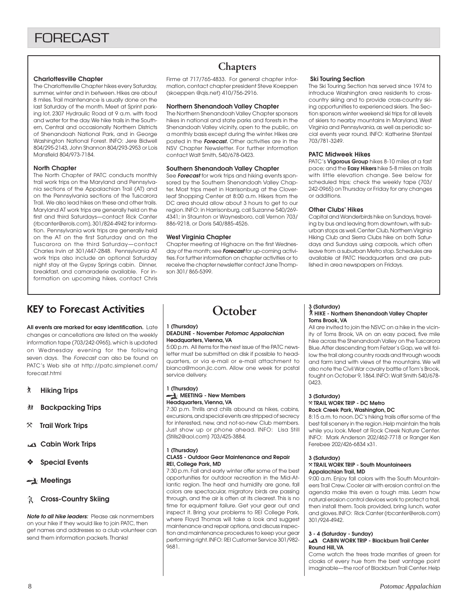#### **Charlottesville Chapter**

The Charlottesville Chapter hikes every Saturday, summer, winter and in between. Hikes are about 8 miles. Trail maintenance is usually done on the last Saturday of the month. Meet at Sprint parking lot, 2307 Hydraulic Road at 9 a.m. with food and water for the day. We hike trails in the Southern, Central and occasionally Northern Districts of Shenandoah National Park, and in George Washington National Forest. INFO: Jere Bidwell 804/295-2143, John Shannon 804/293-2953 or Lois Mansfield 804/973-7184.

#### **North Chapter**

The North Chapter of PATC conducts monthly trail work trips on the Maryland and Pennsylvania sections of the Appalachian Trail (AT) and on the Pennsylvania sections of the Tuscarora Trail. We also lead hikes on these and other trails. Maryland AT work trips are generally held on the first and third Saturdays—contact Rick Canter (rbcanter@erols.com), 301/824-4942 for information. Pennsylvania work trips are generally held on the AT on the first Saturday and on the Tuscarora on the third Saturday—contact Charles Irvin at 301/447-2848. Pennsylvania AT work trips also include an optional Saturday night stay at the Gypsy Springs cabin. Dinner, breakfast, and camaraderie available. For information on upcoming hikes, contact Chris

# **Chapters**

Firme at 717/765-4833. For general chapter information, contact chapter president Steve Koeppen (skoeppen @qis.net) 410/756-2916.

#### **Northern Shenandoah Valley Chapter**

The Northern Shenandoah Valley Chapter sponsors hikes in national and state parks and forests in the Shenandoah Valley vicinity, open to the public, on a monthly basis except during the winter. Hikes are posted in the **Forecast.** Other activities are in the NSV Chapter Newsletter. For further information contact Walt Smith, 540/678-0423.

#### **Southern Shenandoah Valley Chapter**

See **Forecast** for work trips and hiking events sponsored by the Southern Shenandoah Valley Chapter. Most trips meet in Harrisonburg at the Cloverleaf Shopping Center at 8:00 a.m. Hikers from the DC area should allow about 3 hours to get to our region. INFO: in Harrisonburg, call Suzanne 540/269- 4341; in Staunton or Waynesboro, call Vernon 703/ 886-9218, or Doris 540/885-4526.

#### **West Virginia Chapter**

Chapter meeting at Highacre on the first Wednesday of the month; see **Forecast** for up-coming activities. For further information on chapter activities or to receive the chapter newsletter contact Jane Thompson 301/ 865-5399.

#### **Ski Touring Section**

The Ski Touring Section has served since 1974 to introduce Washington area residents to crosscountry skiing and to provide cross-country skiing opportunities to experienced skiers. The Section sponsors winter weekend ski trips for all levels of skiers to nearby mountains in Maryland, West Virginia and Pennsylvania, as well as periodic social events year round. INFO: Katherine Stentzel 703/781-3249.

#### **PATC Midweek Hikes**

PATC's **Vigorous Group** hikes 8-10 miles at a fast pace; and the **Easy Hikers** hike 5-8 miles on trails with little elevation change. See below for scheduled trips; check the weekly tape (703/ 242-0965) on Thursday or Friday for any changes or additions.

#### **Other Clubs' Hikes**

Capital and Wanderbirds hike on Sundays, traveling by bus and leaving from downtown, with suburban stops as well. Center Club, Northern Virginia Hiking Club and Sierra Clubs hike on both Saturdays and Sundays using carpools, which often leave from a suburban Metro stop. Schedules are available at PATC Headquarters and are published in area newspapers on Fridays.

# KEY to Forecast Activities

**All events are marked for easy identification.** Late changes or cancellations are listed on the weekly information tape (703/242-0965), which is updated on Wednesday evening for the following seven days. The Forecast can also be found on PATC's Web site at http://patc.simplenet.com/ forecast.html

- ` **Hiking Trips**
- F **Backpacking Trips**
- } **Trail Work Trips**
- **Cabin Work Trips**
- ❖ **Special Events**
- **A** Meetings

### **R** Cross-Country Skiing

**Note to all hike leaders:** Please ask nonmembers on your hike if they would like to join PATC, then get names and addresses so a club volunteer can send them information packets. Thanks!

# **October**

### **1 (Thursday)**

#### **DEADLINE - November Potomac Appalachian Headquarters, Vienna, VA**

5:00 p.m. All items for the next issue of the PATC newsletter must be submitted on disk if possible to headquarters, or via e-mail or e-mail attachment to bianca@moon.jic.com. Allow one week for postal service delivery.

#### **1 (Thursday) MEETING - New Members**

### **Headquarters, Vienna, VA**

7:30 p.m. Thrills and chills abound as hikes, cabins, excursions, and special events are stripped of secrecy for interested, new, and not-so-new Club members. Just show up or phone ahead. INFO: Lisa Still (Stills2@aol.com) 703/425-3884.

#### **1 (Thursday)**

#### **CLASS - Outdoor Gear Maintenance and Repair REI, College Park, MD**

7:30 p.m. Fall and early winter offer some of the best opportunities for outdoor recreation in the Mid-Atlantic region. The heat and humidity are gone, fall colors are spectacular, migratory birds are passing through, and the air is often at its clearest. This is no time for equipment failure. Get your gear out and inspect it. Bring your problems to REI College Park, where Floyd Thomas will take a look and suggest maintenance and repair options, and discuss inspection and maintenance procedures to keep your gear performing right. INFO: REI Customer Service 301/982- 9681.

### **3 (Saturday)** ` **HIKE - Northern Shenandoah Valley Chapter Toms Brook, VA**

All are invited to join the NSVC on a hike in the vicinity of Toms Brook, VA on an easy paced, five mile hike across the Shenandoah Valley on the Tuscarora Blue. After descending from Fetzer's Gap, we will follow the trail along country roads and through woods and farm land with views of the mountains. We will also note the Civil War cavalry battle of Tom's Brook, fought on October 9, 1864. INFO: Walt Smith 540/678- 0423.

#### **3 (Saturday)** } **TRAIL WORK TRIP - DC Metro Rock Creek Park, Washington, DC**

8:15 a.m. to noon. DC's hiking trails offer some of the best fall scenery in the region. Help maintain the trails while you look. Meet at Rock Creek Nature Center. INFO: Mark Anderson 202/462-7718 or Ranger Ken Ferebee 202/426-6834 x31.

### **3 (Saturday)**

#### } **TRAIL WORK TRIP - South Mountaineers Appalachian Trail, MD**

9:00 a.m. Enjoy fall colors with the South Mountaineers Trail Crew. Cooler air with erosion control on the agenda make this even a tough miss. Learn how natural erosion control devices work to protect a trail, then install them. Tools provided, bring lunch, water and gloves. INFO: Rick Canter (rbcanter@erols.com) 301/924-4942.

#### **3 - 4 (Saturday - Sunday)**

#### **CABIN WORK TRIP - Blackburn Trail Center Round Hill, VA**

Come watch the trees trade mantles of green for cloaks of every hue from the best vantage point imaginable—the roof of Blackburn Trail Center. Help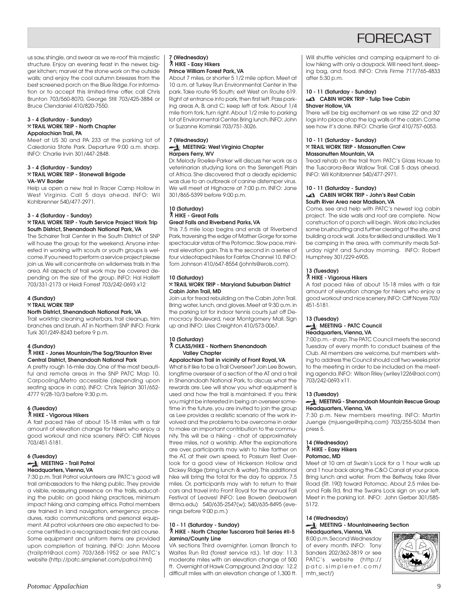

us saw, shingle, and swear as we re-roof this majestic structure. Enjoy an evening feast in the newer, bigger kitchen; marvel at the stone work on the outside walls; and enjoy the cool autumn breezes from the best screened porch on the Blue Ridge. For information or to accept this limited-time offer, call Chris Brunton 703/560-8070, George Still 703/425-3884 or Bruce Clendaniel 410/820-7550.

#### **3 - 4 (Saturday - Sunday)** } **TRAIL WORK TRIP - North Chapter Appalachian Trail, PA**

Meet at US 30 and PA 233 at the parking lot of Caledonia State Park. Departure 9:00 a.m. sharp. INFO: Charlie Irvin 301/447-2848.

#### **3 - 4 (Saturday - Sunday)** } **TRAIL WORK TRIP - Stonewall Brigade VA-WV Border**

Help us open a new trail in Racer Camp Hollow in West Virginia. Call 5 days ahead. INFO: Wil Kohlbrenner 540/477-2971.

#### **3 - 4 (Saturday - Sunday)** } **TRAIL WORK TRIP - Youth Service Project Work Trip South District, Shenandoah National Park, VA**

The Schairer Trail Center in the South District of SNP will house the group for the weekend. Anyone interested in working with scouts or youth groups is welcome. If you need to perform a service project please join us. We will concentrate on wilderness trails in the area. All aspects of trail work may be covered depending on the size of the group. INFO: Hal Hallett 703/331-2173 or Heidi Forrest 703/242-0693 x12

#### **4 (Sunday)**

#### } **TRAIL WORK TRIP**

#### **North District, Shenandoah National Park, VA**

Trail worktrip cleaning waterbars, trail cleanup, trim branches and brush. AT in Northern SNP INFO: Frank Turk 301/249-8243 before 9 p.m.

#### **4 (Sunday)**

#### ` **HIKE - Jones Mountain/The Sag/Staunton River Central District, Shenandoah National Park**

A pretty rough 16-mile day. One of the most beautiful and remote areas in the SNP PATC Map 10. Carpooling/Metro accessible (depending upon seating space in cars). INFO: Chris Tejirian 301/652- 4777 9/28-10/3 before 9:30 p.m.

#### **6 (Tuesday)**

#### ` **HIKE - Vigorous Hikers**

A fast paced hike of about 15-18 miles with a fair amount of elevation change for hikers who enjoy a good workout and nice scenery. INFO: Cliff Noyes 703/451-5181.

#### **6 (Tuesday) MEETING - Trail Patrol Headquarters, Vienna, VA**

7:30 p.m. Trail Patrol volunteers are PATC's good will trail ambassadors to the hiking public. They provide a visible, reassuring presence on the trails, educating the public on good hiking practices, minimum impact hiking and camping ethics. Patrol members are trained in land navigation, emergency procedures, radio communications and personal equipment. All patrol volunteers are also expected to become certified in a recognized basic first aid course. Some equipment and uniform items are provided upon completion of training. INFO: John Moore (trailptrl@aol.com) 703/368-1952 or see PATC's website (http://patc.simplenet.com/patrol.html)

#### **7 (Wednesday)** ` **HIKE - Easy Hikers Prince William Forest Park, VA**

About 7 miles, or shorter 5 1/2 mile option. Meet at 10 a.m. at Turkey Run Environmental Center in the park. Take route 95 South; exit West on Route 619. Right at entrance into park, then first left. Pass parking areas A, B, and C; keep left at fork. About 1/4 mile from fork, turn right. About 1/2 mile to parking lot at Environmental Center. Bring lunch. INFO: John or Suzanne Kominski 703/751-3026.

#### **7 (Wednesday) MEETING: West Virginia Chapter Harpers Ferry, WV**

Dr. Melody Roelke-Parker will discuss her work as a veterinarian studying lions on the Serengeti Plain of Africa. She discovered that a deadly epidemic was due to an outbreak of canine distemper virus. We will meet at Highacre at 7:00 p.m. INFO: Jane 301/865-5399 before 9:00 p.m.

#### **10 (Saturday)** ` **HIKE - Great Falls Great Falls and Riverbend Parks, VA**

This 7.5 mile loop begins and ends at Riverbend Park, traversing the edge of Mather Gorge for some spectacular vistas of the Potomac. Slow pace, minimal elevation gain. This is the second in a series of four videotaped hikes for Fairfax Channel 10. INFO: Tom Johnson 410/647-8554 (johnts@erols.com).

#### **10 (Saturday)** } **TRAIL WORK TRIP - Maryland Suburban District Cabin John Trail, MD**

Join us for tread rebuilding on the Cabin John Trail. Bring water, lunch, and gloves. Meet at 9:30 a.m. in the parking lot for indoor tennis courts just off Democracy Boulevard, near Montgomery Mall. Sign up and INFO: Liles Creighton 410/573-0067.

#### **10 (Saturday)** ` **CLASS/HIKE - Northern Shenandoah Valley Chapter**

**Appalachian Trail in vicinity of Front Royal, VA** What is it like to be a Trail Overseer? Join Lee Bowen, longtime overseer of a section of the AT and a trail in Shenandoah National Park, to discuss what the rewards are. Lee will show you what equipment is used and how the trail is maintained. If you think you might be interested in being an overseer sometime in the future, you are invited to join the group as Lee provides a realistic scenario of the work involved and the problems to be overcome in order to make an important contribution to the community. This will be a hiking - chat of approximately three miles, not a worktrip. After the explanations are over, participants may wish to hike farther on the AT, at their own speed, to Possum Rest Overlook for a good view of Hickerson Hollow and Dickey Ridge (bring lunch & water). This additional hike will bring the total for the day to approx. 7.5 miles. Or, participants may wish to return to their cars and travel into Front Royal for the annual Fall Festival of Leaves! INFO: Lee Bowen (leebowen @rma.edu) 540/635-2547(w); 540/635-8495 (evenings before 9:00 p.m.)

#### **10 - 11 (Saturday - Sunday)** ` **HIKE - North Chapter Tuscarora Trail Series #II-5 Jamina/County Line**

VA sections Third overnighter. Loman Branch to Waites Run Rd (forest service rd.). 1st day: 11.3 moderate miles with an elevation change of 500 ft. Overnight at Hawk Campground. 2nd day: 12.2 difficult miles with an elevation change of 1,300 ft.

Will shuttle vehicles and camping equipment to allow hiking with only a daypack. Will need tent, sleeping bag, and food. INFO: Chris Firme 717/765-4833 after 5:30 p.m.

#### **10 - 11 (Saturday - Sunday) CABIN WORK TRIP - Tulip Tree Cabin Shaver Hollow, VA**

There will be big excitement as we raise 22' and 30' logs into place atop the log walls of the cabin. Come see how it's done. INFO: Charlie Graf 410/757-6053.

#### **10 - 11 (Saturday - Sunday)** } **TRAIL WORK TRIP - Massanutten Crew Massanutten Mountain, VA**

Tread rehab on the trail from PATC's Glass House to the Tuscarora-Bear Wallow Trail. Call 5 days ahead. INFO: Wil Kohlbrenner 540/477-2971.

#### **10 - 11 (Saturday - Sunday) CABIN WORK TRIP - John's Rest Cabin South River Area near Madison, VA**

Come, see and help with PATC's newest log cabin project. The side walls and roof are complete. Now construction of a porch will begin. Work also includes some brushcutting and further clearing of the site, and building a rock wall. Jobs for skilled and unskilled. We'll be camping in the area, with community meals Saturday night and Sunday morning. INFO: Robert Humphrey 301/229-6905.

#### **13 (Tuesday)**

### ` **HIKE - Vigorous Hikers**

A fast paced hike of about 15-18 miles with a fair amount of elevation change for hikers who enjoy a good workout and nice scenery. INFO: Cliff Noyes 703/ 451-5181.

#### **13 (Tuesday) MEETING - PATC Council Headquarters, Vienna, VA**

7:00 p.m. - sharp. The PATC Council meets the second Tuesday of every month to conduct business of the Club. All members are welcome, but members wishing to address the Council should call two weeks prior to the meeting in order to be included on the meeting agenda. INFO: Wilson Riley (wriley1226@aol.com) 703/242-0693 x11.

#### **13 (Tuesday)**

#### **MEETING - Shenandoah Mountain Rescue Group Headquarters, Vienna, VA**

7:30 p.m. New members meeting. INFO: Martin Juenge (mjuenge@rpihq.com) 703/255-5034 then press 5.

### **14 (Wednesday)**

#### ` **HIKE - Easy Hikers**

#### **Potomac, MD**

Meet at 10 am at Swain's Lock for a 1 hour walk up and 1 hour back along the C&O Canal at your pace. Bring lunch and water. From the Beltway, take River Road (Rt. 190) toward Potomac. About 2.5 miles beyond Falls Rd, find the Swains Lock sign on your left. Meet in the parking lot. INFO: John Gerber 301/585- 5172.

#### **14 (Wednesday) MEETING - Mountaineering Section Headquarters, Vienna, VA**

8:00 p.m. Second Wednesday of every month. INFO: Tony Sanders 202/362-3819 or see PATC's website (http:// patc.simplenet.com/ mtn\_sect/)

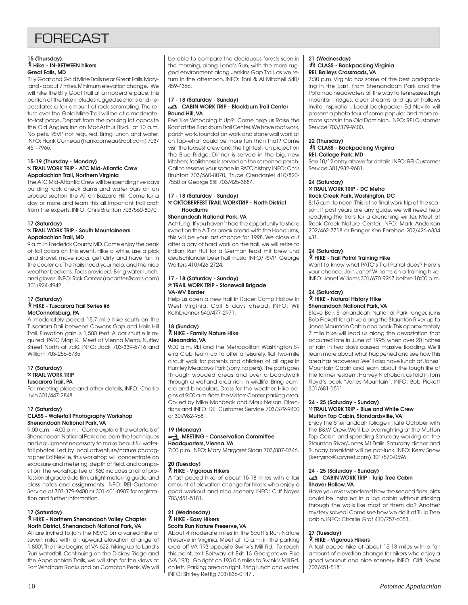# **FORFCAST**

#### **15 (Thursday)** ` **Hike - IN-BETWEEN hikers Great Falls, MD**

Billy Goat and Gold Mine Trails near Great Falls, Maryland - about 7 miles. Minimum elevation change. We will hike the Billy Goat Trail at a moderate pace. This portion of the hike includes rugged sections and necessitates a fair amount of rock scrambling. The return over the Gold Mine Trail will be at a moderateto-fast pace. Depart from the parking lot opposite the Old Anglers Inn on MacArthur Blvd. at 10 a.m. No pets. RSVP not required. Bring lunch and water. INFO: Hank Comeau (hankcomeau@aol.com) 703/ 451-7965.

#### **15-19 (Thursday - Monday)** } **TRAIL WORK TRIP - ATC Mid-Atlantic Crew Appalachian Trail, Northern Virginia**

The ATC Mid-Atlantic Crew will be spending five days building rock check dams and water bars on an eroded section the AT on Buzzard Hill. Come for a day or more and learn this all important trail craft from the experts. INFO: Chris Brunton 703/560-8070.

#### **17 (Saturday)** } **TRAIL WORK TRIP - South Mountaineers Appalachian Trail, MD**

9 a.m. in Frederick County, MD. Come enjoy the peak of fall colors on this event. Hike a while, use a pick and shovel, move rocks, get dirty and have fun in the cooler air. The trails need your help, and the nice weather beckons. Tools provided. Bring water, lunch, and gloves. INFO: Rick Canter (rbcanter@erols.com) 301/924-4942.

#### **17 (Saturday)** ` **HIKE - Tuscarora Trail Series #6 McConnellsburg, PA**

A moderately paced 15.7 mile hike south on the Tuscarora Trail between Cowans Gap and Hells Hill Trail. Elevation gain is 1,500 feet. A car shuttle is required. PATC Map K. Meet at Vienna Metro, Nutley Street North at 7:30. INFO: Jack 703-339-6716 and William 703-256-6735.

#### **17 (Saturday)** } **TRAIL WORK TRIP Tuscarora Trail, PA**

For meeting place and other details, INFO: Charlie Irvin 301/447-2848.

### **17 (Saturday)**

#### **CLASS - Waterfall Photography Workshop Shenandoah National Park, VA**

9:00 a.m. - 4:00 p.m. Come explore the waterfalls of Shenandoah National Park and learn the techniques and equipment necessary to make beautiful waterfall photos. Led by local adventure/nature photographer Ed Neville, this workshop will concentrate on exposure and metering, depth of field, and composition. The workshop fee of \$60 includes a roll of professional grade slide film, a light metering guide, and class notes and assignments. INFO: REI Customer Service at 703-379-9400 or 301-601-0987 for registration and further information.

#### **17 (Saturday)**

#### ` **HIKE - Northern Shenandoah Valley Chapter North District, Shenandoah National Park, VA**

All are invited to join the NSVC on a varied hike of seven miles with an upward elevation change of 1,800'. The hike begins at VA 622, hiking up to Land's Run waterfall. Continuing on the Dickey Ridge and the Appalachian Trails, we will stop for the views at Fort Windham Rocks and on Compton Peak. We will be able to compare the deciduous forests seen in the morning, along Land's Run, with the more rugged environment along Jenkins Gap Trail, as we return in the afternoon. INFO: Toni & Al Mitchell 540/ 459-4366.

#### **17 - 18 (Saturday - Sunday) CABIN WORK TRIP - Blackburn Trail Center Round Hill, VA**

Feel like Whooping It Up? Come help us Raise the Roof at the Blackburn Trail Center. We have roof work, porch work, foundation work and stone wall work all on tap-what could be more fun than that? Come visit the loosest crew and the tightest-run project on the Blue Ridge. Dinner is served in the big, new kitchen; foolishness is served on the screened porch. Call to reserve your space in PATC history. INFO: Chris Brunton 703/560-8070, Bruce Clendaniel 410/820- 7550 or George Still 703/425-3884.

#### **17 - 18 (Saturday - Sunday)** } **OKTOBERFEST TRAIL WORKTRIP - North District Hoodlums**

#### **Shenandoah National Park, VA**

Achtung! If you haven't had the opportunity to share sweat on the A.T. or break bread with the Hoodlums, this will be your last chance for 1998. We close out after a day of hard work on the trail, we will retire to Indian Run Hut for a German feast mit brew und deutschlander beer hall music. INFO/RSVP: George Walters 410/426-2724.

#### **17 - 18 (Saturday - Sunday)** } **TRAIL WORK TRIP - Stonewall Brigade VA-WV Border**

Help us open a new trail in Racer Camp Hollow in West Virginia. Call 5 days ahead. INFO: Wil Kolhbrenner 540/477-2971.

#### **18 (Sunday)** ` **HIKE - Family Nature Hike Alexandria, VA**

9:00 a.m. REI and the Metropolitan Washington Sierra Club team up to offer a leisurely, flat two-mile circuit walk for parents and children of all ages in Huntley Meadows Park (sorry, no pets). The path goes through wooded areas and over a boardwalk through a wetland area rich in wildlife. Bring camera and binoculars. Dress for the weather. Hike begins at 9:00 a.m. from the Visitors Center parking area. Co-led by Mike Monbeck and Mark Nelson. Directions and INFO: REI Customer Service 703/379-9400 or 30l/982-9681.

#### **19 (Monday) MEETING - Conservation Committee Headquarters, Vienna, VA**

7:00 p.m. INFO: Mary Margaret Sloan 703/807-0746.

#### **20 (Tuesday)** ` **HIKE - Vigorous Hikers**

A fast paced hike of about 15-18 miles with a fair amount of elevation change for hikers who enjoy a good workout and nice scenery. INFO: Cliff Noyes 703/451-5181.

#### **21 (Wednesday)** ` **HIKE - Easy Hikers Scotts Run Nature Preserve, VA**

About 4 moderate miles in the Scott's Run Nature Preserve in Virginia. Meet at 10 a.m. in the parking area off VA 193 opposite Swink's Mill Rd. To reach this point, exit Beltway at Exit 13 Georgetown Pike (VA 193). Go right on 193 0.6 miles to Swink's Mill Rd. on left. Parking area on right. Bring lunch and water. INFO: Shirley Rettig 703/836-0147 .

#### **21 (Wednesday) 然 CLASS - Backpacking Virginia REI, Baileys Crossroads, VA**

7:30 p.m. Virginia has some of the best backpacking in the East. From Shenandoah Park and the Potomac headwaters all the way to Tennessee, high mountain ridges, clear streams and quiet hollows invite inspiration. Local backpacker Ed Neville will present a photo tour of some popular and more remote spots in the Old Dominion. INFO: REI Customer Service 703/379-9400.

### **22 (Thursday)**

#### **K CLASS - Backpacking Virginia REI, College Park, MD**

See 10/12 entry above for details. INFO: REI Customer Service 301/982-9681.

#### **24 (Saturday)** } **TRAIL WORK TRIP - DC Metro Rock Creek Park, Washington, DC**

8:15 a.m. to noon. This is the final work trip of the season. If past years are any guide, we will need help readying the trails for a drenching winter. Meet at Rock Creek Nature Center. INFO: Mark Anderson 202/462-7718 or Ranger Ken Ferebee 202/426-6834 x31.

### **24 (Saturday)**

#### ` **HIKE - Trail Patrol Training Hike**

Want to know what PATC's Trail Patrol does? Here's your chance. Join Janet Williams on a training hike. INFO: Janet Williams 301/670-9267 before 10:00 p.m.

#### **24 (Saturday)**

# ` **HIKE - Natural History Hike**

**Shenandoah National Park, VA**

Steve Bair, Shenandoah National Park ranger, joins Bob Pickett for a hike along the Staunton River up to Jones Mountain Cabin and back. This approximately 7 mile hike will lead us along the devastation that occurred late in June of 1995, when over 20 inches of rain in two days caused massive flooding. We'll learn more about what happened and see how this area has recovered. We'll also have lunch at Jones' Mountain Cabin and learn about the tough life of the former resident, Harvey Nicholson, as told in Tom Floyd's book "Jones Mountain". INFO: Bob Pickett 301/681-1511.

#### **24 - 25 (Saturday - Sunday)** } **TRAIL WORK TRIP - Blue and White Crew Mutton Top Cabin, Standardsville, VA**

Enjoy the Shenandoah foliage in late October with the B&W Crew. We'll be overnighting at the Mutton Top Cabin and spending Saturday working on the Staunton River/Jones Mt Trails. Saturday dinner and Sunday breakfast will be pot-luck. INFO: Kerry Snow (kerrysno@sprynet.com) 301/570-0596.

#### **24 - 25 (Saturday - Sunday) CABIN WORK TRIP - Tulip Tree Cabin Shaver Hollow, VA**

Have you ever wondered how the second floor joists could be installed in a log cabin without sticking through the walls like most of them do? Another mystery solved! Come see how we do it at Tulip Tree cabin. INFO: Charlie Graf 410/757-6053.

### **27 (Tuesday)**

#### ` **HIKE - Vigorous Hikers**

A fast paced hike of about 15-18 miles with a fair amount of elevation change for hikers who enjoy a good workout and nice scenery. INFO: Cliff Noyes 703/451-5181.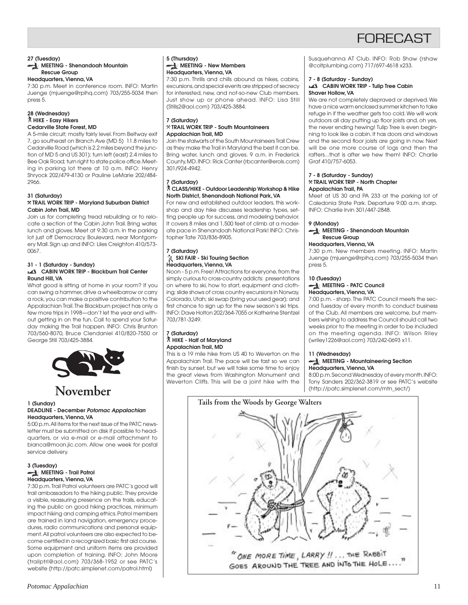

#### **27 (Tuesday) MEETING - Shenandoah Mountain Rescue Group**

#### **Headquarters, Vienna, VA**

7:30 p.m. Meet in conference room. INFO: Martin Juenge (mjuenge@rpihq.com) 703/255-5034 then press 5.

#### **28 (Wednesday)** ` **HIKE - Easy Hikers Cedarville State Forest, MD**

A 5-mile circuit; mostly fairly level. From Beltway exit 7, go southeast on Branch Ave (MD 5) 11.8 miles to Cedarville Road (which is 2.2 miles beyond the junction of MD 5 and US 301); turn left (east) 2.4 miles to Bee Oak Road; turn right to state police office. Meeting in parking lot there at 10 a.m. INFO: Henry Shryock 202/479-4130 or Pauline LeMarie 202/484- 2966.

#### **31 (Saturday)** } **TRAIL WORK TRIP - Maryland Suburban District**

**Cabin John Trail, MD** Join us for completing tread rebuilding or to relo-

cate a section of the Cabin John Trail. Bring water, lunch and gloves. Meet at 9:30 a.m. in the parking lot just off Democracy Boulevard, near Montgomery Mall. Sign up and INFO: Liles Creighton 410/573- 0067.

#### **31 - 1 (Saturday - Sunday) CABIN WORK TRIP - Blackburn Trail Center Round Hill, VA**

What good is sitting at home in your room? If you can swing a hammer, drive a wheelbarrow or carry a rock, you can make a positive contribution to the Appalachian Trail. The Blackburn project has only a few more trips in 1998—don't let the year end without getting in on the fun. Call to spend your Saturday making the Trail happen. INFO: Chris Brunton 703/560-8070, Bruce Clendaniel 410/820-7550 or George Still 703/425-3884.



# **November**

#### **1 (Sunday) DEADLINE - December Potomac Appalachian Headquarters, Vienna, VA**

5:00 p.m. All items for the next issue of the PATC newsletter must be submitted on disk if possible to headquarters, or via e-mail or e-mail attachment to bianca@moon.jic.com. Allow one week for postal service delivery.

#### **3 (Tuesday) MEETING - Trail Patrol Headquarters, Vienna, VA**

7:30 p.m. Trail Patrol volunteers are PATC's good will trail ambassadors to the hiking public. They provide a visible, reassuring presence on the trails, educating the public on good hiking practices, minimum impact hiking and camping ethics. Patrol members are trained in land navigation, emergency procedures, radio communications and personal equipment. All patrol volunteers are also expected to become certified in a recognized basic first aid course. Some equipment and uniform items are provided upon completion of training. INFO: John Moore (trailptrl@aol.com) 703/368-1952 or see PATC's website (http://patc.simplenet.com/patrol.html)

#### **5 (Thursday) MEETING - New Members Headquarters, Vienna, VA**

7:30 p.m. Thrills and chills abound as hikes, cabins, excursions, and special events are stripped of secrecy for interested, new, and not-so-new Club members. Just show up or phone ahead. INFO: Lisa Still (Stills2@aol.com) 703/425-3884.

#### **7 (Saturday)** } **TRAIL WORK TRIP - South Mountaineers Appalachian Trail, MD**

Join the stalwarts of the South Mountaineers Trail Crew as they make the Trail in Maryland the best it can be. Bring water, lunch and gloves. 9 a.m. in Frederick County, MD. INFO: Rick Canter (rbcanter@erols.com) 301/924-4942.

# **7 (Saturday)** ` **CLASS/HIKE - Outdoor Leadership Workshop & Hike North District, Shenandoah National Park, VA**

For new and established outdoor leaders, this workshop and day hike discusses leadership types, setting people up for success, and modeling behavior. It covers 8 miles and 1,500 feet of climb at a moderate pace in Shenandoah National Park! INFO: Christopher Tate 703/836-8905.

#### **7 (Saturday) SKI FAIR - Ski Touring Section Headquarters, Vienna, VA**

Noon - 5 p.m. Free! Attractions for everyone, from the simply curious to cross-country addicts: presentations on where to ski, how to start, equipment and clothing; slide shows of cross country excursions in Norway, Colorado, Utah; ski swap (bring your used gear); and first chance to sign up for the new season's ski trips. INFO: Dave Holton 202/364-7055 or Katherine Stentzel 703/781-3249.

#### **7 (Saturday)** ` **HIKE - Half of Maryland Appalachian Trail, MD**

This is a 19 mile hike from US 40 to Weverton on the Appalachian Trail. The pace will be fast so we can finish by sunset, but we will take some time to enjoy the great views from Washington Monument and Weverton Cliffs. This will be a joint hike with the Susquehanna AT Club. INFO: Rob Shaw (rshaw @coltplumbing.com) 717/697-4618 x233.

#### **7 - 8 (Saturday - Sunday)**

#### **CABIN WORK TRIP - Tulip Tree Cabin Shaver Hollow, VA**

We are not completely depraved or deprived. We have a nice warm enclosed summer kitchen to take refuge in if the weather gets too cold. We will work outdoors all day putting up floor joists and, oh yes, the never ending hewing! Tulip Tree is even beginning to look like a cabin. It has doors and windows and the second floor joists are going in now. Next will be one more course of logs and then the rafters...that is after we hew them! INFO: Charlie Graf 410/757-6053.

#### **7 - 8 (Saturday - Sunday)** } **TRAIL WORK TRIP - North Chapter Appalachian Trail, PA**

Meet at US 30 and PA 233 at the parking lot of Caledonia State Park. Departure 9:00 a.m. sharp. INFO: Charlie Irvin 301/447-2848.

### **9 (Monday)**

**MEETING - Shenandoah Mountain Rescue Group**

#### **Headquarters, Vienna, VA**

7:30 p.m. New members meeting. INFO: Martin Juenge (mjuenge@rpihq.com) 703/255-5034 then press 5.

### **10 (Tuesday)**

#### **MEETING - PATC Council Headquarters, Vienna, VA**

7:00 p.m. - sharp. The PATC Council meets the second Tuesday of every month to conduct business of the Club. All members are welcome, but members wishing to address the Council should call two weeks prior to the meeting in order to be included on the meeting agenda. INFO: Wilson Riley (wriley1226@aol.com) 703/242-0693 x11.

# **11 (Wednesday)**

#### **MEETING - Mountaineering Section Headquarters, Vienna, VA**

8:00 p.m. Second Wednesday of every month. INFO: Tony Sanders 202/362-3819 or see PATC's website (http://patc.simplenet.com/mtn\_sect/)

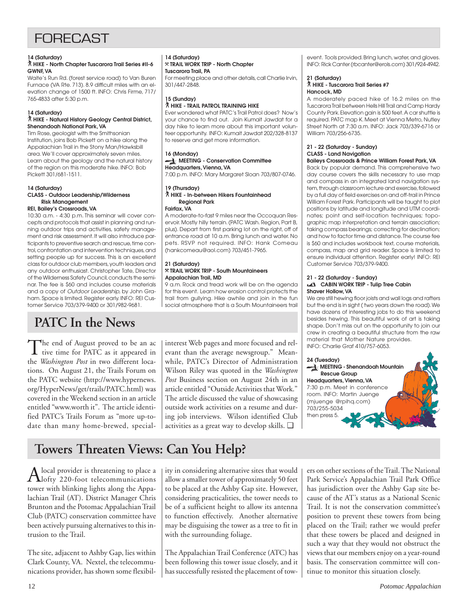# FORECAST

#### **14 (Saturday)**

#### ` **HIKE - North Chapter Tuscarora Trail Series #II-6 GWNF, VA**

Waite's Run Rd. (forest service road) to Van Buren Furnace (VA Rte. 713). 8.9 difficult miles with an elevation change of 1500 ft. INFO: Chris Firme, 717/ 765-4833 after 5:30 p.m.

#### **14 (Saturday)**

#### ` **HIKE - Natural History Geology Central District, Shenandoah National Park, VA**

Tim Rose, geologist with the Smithsonian Institution, joins Bob Pickett on a hike along the Appalachian Trail in the Stony Man/Hawksbill area. We'll cover approximately seven miles. Learn about the geology and the natural history of the region on this moderate hike. INFO: Bob Pickett 301/681-1511.

### **14 (Saturday) CLASS - Outdoor Leadership/Wilderness Risk Management**

# **REI, Bailey's Crossroads, VA**

10:30 a.m. - 4:30 p.m. This seminar will cover concepts and protocols that assist in planning and running outdoor trips and activities, safety management and risk assessment. It will also introduce participants to preventive search and rescue, time control, confrontation and intervention techniques, and setting people up for success. This is an excellent class for outdoor club members, youth leaders and any outdoor enthusiast. Christopher Tate, Director of the Wilderness Safety Council, conducts the seminar. The fee is \$60 and includes course materials and a copy of Outdoor Leadership, by John Graham. Space is limited. Register early. INFO: REI Customer Service 703/379-9400 or 301/982-9681.

# **PATC In the News**

The end of August proved to be an active time for PATC as it appeared in the *Washington Post* in two different locations. On August 21, the Trails Forum on the PATC website (http://www.hypernews. org/HyperNews/get/trails/PATC.html) was covered in the Weekend section in an article entitled "www.worth it". The article identified PATC's Trails Forum as "more up-todate than many home-brewed, special-

#### **14 (Saturday)** } **TRAIL WORK TRIP - North Chapter Tuscarora Trail, PA**

For meeting place and other details, call Charlie Irvin, 301/447-2848.

**15 (Sunday)** ` **HIKE - TRAIL PATROL TRAINING HIKE** Ever wondered what PATC's Trail Patrol does? Now's

your chance to find out. Join Kumait Jawdat for a day hike to learn more about this important volunteer opportunity. INFO: Kumait Jawdat 202/328-8137 to reserve and get more information.

### **16 (Monday)**

#### **MEETING - Conservation Committee Headquarters, Vienna, VA**

7:00 p.m. INFO: Mary Margaret Sloan 703/807-0746.

#### **19 (Thursday)** ` **HIKE - In-between Hikers Fountainhead Regional Park**

**Fairfax, VA**

A moderate-to-fast 9 miles near the Occoquan Reservoir. Mostly hilly terrain. (PATC Wash. Region, Part B, plus). Depart from first parking lot on the right, off of entrance road at 10 a.m. Bring lunch and water. No pets. RSVP not required. INFO: Hank Comeau (hankcomeau@aol.com) 703/451-7965.

#### **21 (Saturday)** } **TRAIL WORK TRIP - South Mountaineers Appalachian Trail, MD**

9 a.m. Rock and tread work will be on the agenda for this event. Learn how erosion control protects the trail from gullying. Hike awhile and join in the fun social atmosphere that is a South Mountaineers trail

interest Web pages and more focused and relevant than the average newsgroup." Meanwhile, PATC's Director of Administration Wilson Riley was quoted in the *Washington Post* Business section on August 24th in an article entitled "Outside Activities that Work." The article discussed the value of showcasing outside work activities on a resume and during job interviews. Wilson identified Club activities as a great way to develop skills. ❑

event. Tools provided. Bring lunch, water, and gloves. INFO: Rick Canter (rbcanter@erols.com) 301/924-4942.

#### **21 (Saturday)** ` **HIKE - Tuscarora Trail Series #7 Hancock, MD**

A moderately paced hike of 16.2 miles on the Tuscarora Trail between Hells Hill Trail and Camp Hardy County Park. Elevation gain is 500 feet. A car shuttle is required. PATC map K. Meet at Vienna Metro, Nutley Street North at 7:30 a.m. INFO: Jack 703/339-6716 or William 703/256-6735.

### **21 - 22 (Saturday - Sunday) CLASS - Land Navigation**

**Baileys Crossroads & Prince William Forest Park, VA** Back by popular demand. This comprehensive two day course covers the skills necessary to use map and compass in an integrated land navigation system, through classroom lecture and exercise, followed by a full day of field exercises on and off-trail in Prince William Forest Park. Participants will be taught to plot positions by latitude and longitude and UTM coordinates; point and self-location techniques; topographic map interpretation and terrain association; taking compass bearings; correcting for declination; and how to factor time and distance. The course fee is \$60 and includes workbook text, course materials, compass, map and grid reader. Space is limited to ensure individual attention. Register early! INFO: REI Customer Service 703/379-9400.

#### **21 - 22 (Saturday - Sunday) CABIN WORK TRIP - Tulip Tree Cabin Shaver Hollow, VA**

We are still hewing floor joists and wall logs and rafters but the end is in sight ( two years down the road). We have dozens of interesting jobs to do this weekend besides hewing. This beautiful work of art is taking shape. Don't miss out on the opportunity to join our crew in creating a beautiful structure from the raw material that Mother Nature provides. INFO: Charlie Graf 410/757-6053.



# **Towers Threaten Views: Can You Help?**

A local provider is threatening to place a<br>
lofty 220-foot telecommunications tower with blinking lights along the Appalachian Trail (AT). District Manager Chris Brunton and the Potomac Appalachian Trail Club (PATC) conservation committee have been actively pursuing alternatives to this intrusion to the Trail.

The site, adjacent to Ashby Gap, lies within Clark County, VA. Nextel, the telecommunications provider, has shown some flexibility in considering alternative sites that would allow a smaller tower of approximately 50 feet to be placed at the Ashby Gap site. However, considering practicalities, the tower needs to be of a sufficient height to allow its antenna to function effectively. Another alternative may be disguising the tower as a tree to fit in with the surrounding foliage.

The Appalachian Trail Conference (ATC) has been following this tower issue closely, and it has successfully resisted the placement of towers on other sections of the Trail. The National Park Service's Appalachian Trail Park Office has jurisdiction over the Ashby Gap site because of the AT's status as a National Scenic Trail. It is not the conservation committee's position to prevent these towers from being placed on the Trail; rather we would prefer that these towers be placed and designed in such a way that they would not obstruct the views that our members enjoy on a year-round basis. The conservation committee will continue to monitor this situation closely.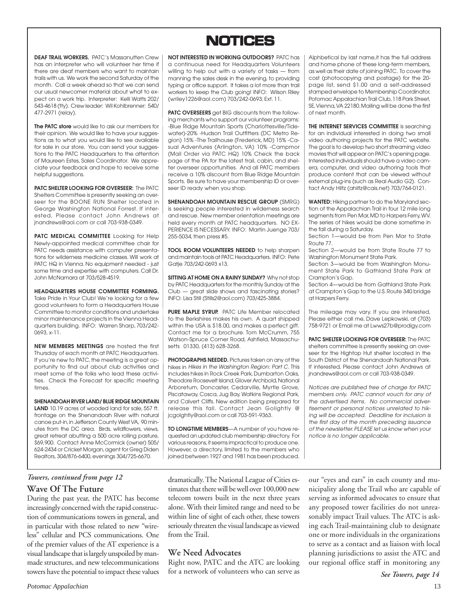# **NOTICES NOTICES**

**DEAF TRAIL WORKERS.** PATC's Massanutten Crew has an interpreter who will volunteer her time if there are deaf members who want to maintain trails with us. We work the second Saturday of the month. Call a week ahead so that we can send our usual newcomer material about what to expect on a work trip. Interpreter: Kelli Watts 202/ 543-4618 (tty). Crew leader: Wil Kohlbrenner: 540/ 477-2971 (relay).

**The PATC store** would like to ask our members for their opinion. We would like to have your suggestions as to what you would like to see available for sale in our store. You can send your suggestions to the PATC Headquarters to the attention of Maureen Estes, Sales Coordinator. We appreciate your feedback and hope to receive some helpful suggestions.

**PATC SHELTER LOOKING FOR OVERSEER:** The PATC Shelters Committee is presently seeking an overseer for the BOONE RUN Shelter located in George Washington National Forrest. If interested, Please contact John Andrews at jnandrews@aol.com or call 703-938-0349.

**PATC MEDICAL COMMITTEE** Looking for Help Newly-appointed medical committee chair for PATC needs assistance with computer presentations for wilderness medicine classes. Will work at PATC HQ in Vienna. No equipment needed - just some time and expertise with computers. Call Dr. John McNamara at 703/528-4519.

**HEADQUARTERS HOUSE COMMITTEE FORMING.** Take Pride in Your Club! We're looking for a few good volunteers to form a Headquarters House Committee to monitor conditions and undertake minor maintenance projects in the Vienna Headquarters building. INFO: Warren Sharp, 703/242- 0693, x-11.

**NEW MEMBERS MEETINGS** are hosted the first Thursday of each month at PATC Headquarters. If you're new to PATC, the meeting is a great opportunity to find out about club activities and meet some of the folks who lead these activities. Check the Forecast for specific meeting times.

**SHENANDOAH RIVER LAND/ BLUE RIDGE MOUNTAIN** LAND 10.19 acres of wooded land for sale, 557 ft. frontage on the Shenandoah River with natural canoe put-in, in Jefferson County West VA, 90 minutes from the DC area. Birds, wildflowers, views, great retreat abutting a 500 acre rolling pasture, \$69,900. Contact Anne McCormick (owner) 505/ 624-2434 or Cricket Morgan, agent for Greg Diden Realtors, 304/876-6400, evenings 304/725-6670.

### **Wave Of The Future** *Towers, continued from page 12*

During the past year, the PATC has become increasingly concerned with the rapid construction of communications towers in general, and in particular with those related to new "wireless" cellular and PCS communications. One of the premier values of the AT experience is a visual landscape that is largely unspoiled by manmade structures, and new telecommunications towers have the potential to impact these values

**NOT INTERESTED IN WORKING OUTDOORS?** PATC has a continuous need for Headquarters Volunteers willing to help out with a variety of tasks — from manning the sales desk in the evening, to providing typing or office support. It takes a lot more than trail workers to keep the Club going! INFO: Wilson Riley (wriley1226@aol.com) 703/242-0693, Ext. 11.

**PATC OVERSEERS** get BIG discounts from the following merchants who support our volunteer programs: -Blue Ridge Mountain Sports (Charlottesville/Tidewater)-20% -Hudson Trail Outfitters (DC Metro Region) 15% -The Trailhouse (Frederick, MD) 15% -Casual Adventures (Arlington, VA) 10% -Campmor (Mail Order via PATC HQ) 10% Check the back page of the PA for the latest trail, cabin, and shelter overseer opportunities. And all PATC members receive a 10% discount from Blue Ridge Mountain Sports. Be sure to have your membership ID or overseer ID ready when you shop.

**SHENANDOAH MOUNTAIN RESCUE GROUP** (SMRG) is seeking people interested in wilderness search and rescue. New member orientation meetings are held every month at PATC headquarters. NO EX-PERIENCE IS NECESSARY. INFO: Martin Juenge 703/ 255-5034, then press #5.

**TOOL ROOM VOLUNTEERS NEEDED** to help sharpen and maintain tools at PATC Headquarters. INFO: Pete Gatje 703/242-0693 x13.

**SITTING AT HOME ON A RAINY SUNDAY?** Why not stop by PATC Headquarters for the monthly Sunday at the Club — great slide shows and fascinating stories? INFO: Lisa Still (Stills2@aol.com) 703/425-3884.

**PURE MAPLE SYRUP.** PATC Life Member relocated to the Berkshires makes his own. A quart shipped within the USA is \$18.00, and makes a perfect gift. Contact me for a brochure. Tom McCrumm, 755 Watson-Spruce Corner Road, Ashfield, Massachusetts 01330, (413) 628-3268.

**PHOTOGRAPHS NEEDED.** Pictures taken on any of the hikes in Hikes in the Washington Region: Part C. This includes hikes in Rock Creek Park, Dumbarton Oaks, Theodore Roosevelt Island, Glover Archbold, National Arboretum, Doncaster, Cedarville, Myrtle Grove, Piscataway, Cosca, Jug Bay, Watkins Regional Park, and Calvert Cliffs. New edition being prepared for release this fall. Contact Jean Golightly @ jcgolghtly@aol.com or call 703-591-9363.

**TO LONGTIME MEMBERS**—A number of you have requested an updated club membership directory. For various reasons, it seems impractical to produce one. However, a directory, limited to the members who joined between 1927 and 1981 has been produced. Alphbetical by last name,it has the full address and home phone of these long-term members, as well as their date of joining PATC. To cover the cost (photocopying and postage) for the 20 page list, send \$1.00 and a self-addressed stamped envelope to Membership Coordinator, Potomac Appalachian Trail Club, 118 Park Street, SE, Vienna, VA 22180. Mailing will be done the first of next month.

**THE INTERNET SERVICES COMMITTEE** is searching for an individual interested in doing two small video authoring projects for the PATC website. The goal is to develop two short streaming video movies that will appear on PATC's opening page. Interested individuals should have a video camera, computer, and video authoring tools that produce content that can be viewed without external plug-ins (such as Real Audio G2). Contact Andy Hiltz (ahiltz@cais.net) 703/764-0121.

**WANTED:** Hiking partner to do the Maryland section of the Appalachian Trail in four 12 mile long segments from Pen Mar, MD to Harpers Ferry, WV. The series of hikes would be done sometime in the fall during a Saturday.

Section 1—would be from Pen Mar to State Route 77.

Section 2—would be from State Route 77 to Washington Monument State Park.

Section 3—would be from Washington Monument State Park to Gathland State Park at Crampton's Gap.

Section 4—would be from Gathland State Park at Crampton's Gap to the U.S. Route 340 bridge at Harpers Ferry.

The mileage may vary. If you are interested, Please either call me, Dave Lepkowski, at (703) 758-9721 or Email me at Lwws27b@prodigy.com

**PATC SHELTER LOOKING FOR OVERSEER:** The PATC shelters committee is presently seeking an overseer for the Hightop Hut shelter located in the South District of the Shenandoah National Park. If interested, Please contact John Andrews at jnandrews@aol.com or call 703-938-0349.

Notices are published free of charge for PATC members only. PATC cannot vouch for any of the advertised items. No commercial advertisement or personal notices unrelated to hiking will be accepted. Deadline for inclusion is the first day of the month preceding issuance of the newsletter. PLEASE let us know when your notice is no longer applicable.

dramatically. The National League of Cities estimates that there will be well over 100,000 new telecom towers built in the next three years alone. With their limited range and need to be within line of sight of each other, these towers seriously threaten the visual landscape as viewed from the Trail.

# **We Need Advocates**

Right now, PATC and the ATC are looking for a network of volunteers who can serve as our "eyes and ears" in each county and municipality along the Trail who are capable of serving as informed advocates to ensure that any proposed tower facilities do not unreasonably impact Trail values. The ATC is asking each Trail-maintaining club to designate one or more individuals in the organizations to serve as a contact and as liaison with local planning jurisdictions to assist the ATC and our regional office staff in monitoring any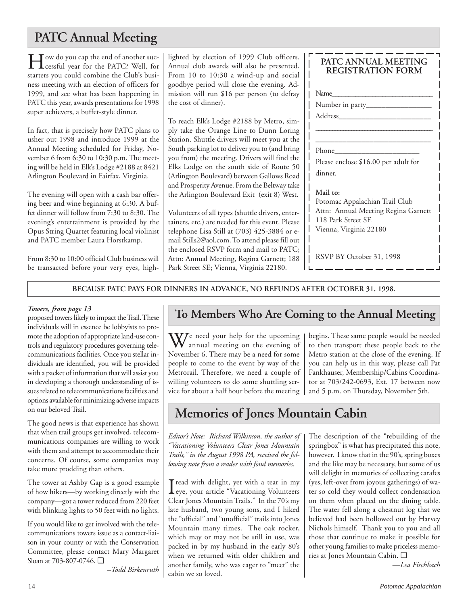# **PATC Annual Meeting**

How do you cap the end of another suc-cessful year for the PATC? Well, for starters you could combine the Club's business meeting with an election of officers for 1999, and see what has been happening in PATC this year, awards presentations for 1998 super achievers, a buffet-style dinner.

In fact, that is precisely how PATC plans to usher out 1998 and introduce 1999 at the Annual Meeting scheduled for Friday, November 6 from 6:30 to 10:30 p.m. The meeting will be held in Elk's Lodge #2188 at 8421 Arlington Boulevard in Fairfax, Virginia.

The evening will open with a cash bar offering beer and wine beginning at 6:30. A buffet dinner will follow from 7:30 to 8:30. The evening's entertainment is provided by the Opus String Quartet featuring local violinist and PATC member Laura Horstkamp.

From 8:30 to 10:00 official Club business will be transacted before your very eyes, highlighted by election of 1999 Club officers. Annual club awards will also be presented. From 10 to 10:30 a wind-up and social goodbye period will close the evening. Admission will run \$16 per person (to defray the cost of dinner).

To reach Elk's Lodge #2188 by Metro, simply take the Orange Line to Dunn Loring Station. Shuttle drivers will meet you at the South parking lot to deliver you to (and bring you from) the meeting. Drivers will find the Elks Lodge on the south side of Route 50 (Arlington Boulevard) between Gallows Road and Prosperity Avenue. From the Beltway take the Arlington Boulevard Exit (exit 8) West.

Volunteers of all types (shuttle drivers, entertainers, etc.) are needed for this event. Please telephone Lisa Still at (703) 425-3884 or email Stills2@aol.com. To attend please fill out the enclosed RSVP form and mail to PATC; Attn: Annual Meeting, Regina Garnett; 188 Park Street SE; Vienna, Virginia 22180.

# **PATC ANNUAL MEETING REGISTRATION FORM**

| Name                                 |
|--------------------------------------|
|                                      |
| Address                              |
|                                      |
|                                      |
| Phone                                |
| Please enclose \$16.00 per adult for |
| dinner.                              |
| Mail to:                             |
| Potomac Appalachian Trail Club       |
| Attn: Annual Meeting Regina Garnett  |
| 118 Park Street SE                   |
| Vienna, Virginia 22180               |
|                                      |
|                                      |
| RSVP BY October 31, 1998             |

**BECAUSE PATC PAYS FOR DINNERS IN ADVANCE, NO REFUNDS AFTER OCTOBER 31, 1998.**

# *Towers, from page 13*

proposed towers likely to impact the Trail. These individuals will in essence be lobbyists to promote the adoption of appropriate land-use controls and regulatory procedures governing telecommunications facilities. Once you stellar individuals are identified, you will be provided with a packet of information that will assist you in developing a thorough understanding of issues related to telecommunications facilities and options available for minimizing adverse impacts on our beloved Trail.

The good news is that experience has shown that when trail groups get involved, telecommunications companies are willing to work with them and attempt to accommodate their concerns. Of course, some companies may take more prodding than others.

The tower at Ashby Gap is a good example of how hikers—by working directly with the company—got a tower reduced from 220 feet with blinking lights to 50 feet with no lights.

If you would like to get involved with the telecommunications towers issue as a contact-liaison in your county or with the Conservation Committee, please contact Mary Margaret Sloan at 703-807-0746. ❑

*–Todd Birkenruth*

# **To Members Who Are Coming to the Annual Meeting**

 $\blacksquare$ 

We need your help for the upcoming<br>annual meeting on the evening of November 6. There may be a need for some people to come to the event by way of the Metrorail. Therefore, we need a couple of willing volunteers to do some shuttling service for about a half hour before the meeting begins. These same people would be needed to then transport these people back to the Metro station at the close of the evening. If you can help us in this way, please call Pat Fankhauser, Membership/Cabins Coordinator at 703/242-0693, Ext. 17 between now and 5 p.m. on Thursday, November 5th.

# **Memories of Jones Mountain Cabin**

*Editor's Note: Richard Wilkinson, the author of "Vacationing Volunteers Clear Jones Mountain Trails," in the August 1998 PA, received the following note from a reader with fond memories.*

I eye, your article "Vacationing Volunteers  $\mathbf T$  read with delight, yet with a tear in my Clear Jones Mountain Trails." In the 70's my late husband, two young sons, and I hiked the "official" and "unofficial" trails into Jones Mountain many times. The oak rocker, which may or may not be still in use, was packed in by my husband in the early 80's when we returned with older children and another family, who was eager to "meet" the cabin we so loved.

The description of the "rebuilding of the springbox" is what has precipitated this note, however. I know that in the 90's, spring boxes and the like may be necessary, but some of us will delight in memories of collecting carafes (yes, left-over from joyous gatherings) of water so cold they would collect condensation on them when placed on the dining table. The water fell along a chestnut log that we believed had been hollowed out by Harvey Nichols himself. Thank you to you and all those that continue to make it possible for other young families to make priceless memories at Jones Mountain Cabin. ❑

*—Lea Fischbach*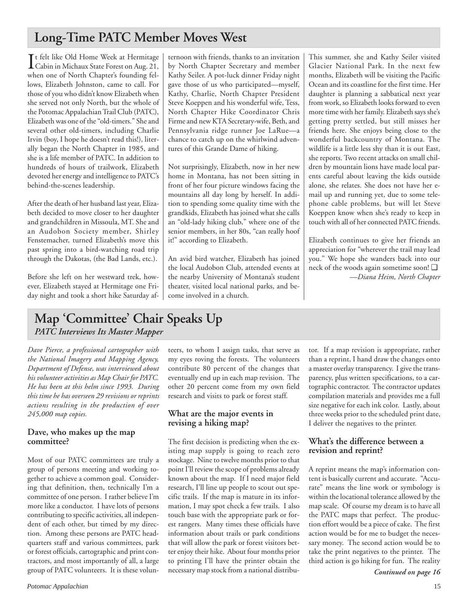# **Long-Time PATC Member Moves West**

It felt like Old Home Week at Hermitage<br>Cabin in Michaux State Forest on Aug. 21, Cabin in Michaux State Forest on Aug. 21, when one of North Chapter's founding fellows, Elizabeth Johnston, came to call. For those of you who didn't know Elizabeth when she served not only North, but the whole of the Potomac Appalachian Trail Club (PATC), Elizabeth was one of the "old-timers." She and several other old-timers, including Charlie Irvin (boy, I hope he doesn't read this!), literally began the North Chapter in 1985, and she is a life member of PATC. In addition to hundreds of hours of trailwork, Elizabeth devoted her energy and intelligence to PATC's behind-the-scenes leadership.

After the death of her husband last year, Elizabeth decided to move closer to her daughter and grandchildren in Missoula, MT. She and an Audobon Society member, Shirley Fenstemacher, turned Elizabeth's move this past spring into a bird-watching road trip through the Dakotas, (the Bad Lands, etc.).

Before she left on her westward trek, however, Elizabeth stayed at Hermitage one Friday night and took a short hike Saturday af-

ternoon with friends, thanks to an invitation by North Chapter Secretary and member Kathy Seiler. A pot-luck dinner Friday night gave those of us who participated—myself, Kathy, Charlie, North Chapter President Steve Koeppen and his wonderful wife, Tess, North Chapter Hike Coordinator Chris Firme and new KTA Secretary-wife, Beth, and Pennsylvania ridge runner Joe LaRue—a chance to catch up on the whirlwind adventures of this Grande Dame of hiking.

Not surprisingly, Elizabeth, now in her new home in Montana, has not been sitting in front of her four picture windows facing the mountains all day long by herself. In addition to spending some quality time with the grandkids, Elizabeth has joined what she calls an "old-lady hiking club," where one of the senior members, in her 80s, "can really hoof it!" according to Elizabeth.

An avid bird watcher, Elizabeth has joined the local Audobon Club, attended events at the nearby University of Montana's student theater, visited local national parks, and become involved in a church.

This summer, she and Kathy Seiler visited Glacier National Park. In the next few months, Elizabeth will be visiting the Pacific Ocean and its coastline for the first time. Her daughter is planning a sabbatical next year from work, so Elizabeth looks forward to even more time with her family. Elizabeth says she's getting pretty settled, but still misses her friends here. She enjoys being close to the wonderful backcountry of Montana. The wildlife is a little less shy than it is out East, she reports. Two recent attacks on small children by mountain lions have made local parents careful about leaving the kids outside alone, she relates. She does not have her email up and running yet, due to some telephone cable problems, but will let Steve Koeppen know when she's ready to keep in touch with all of her connected PATC friends.

Elizabeth continues to give her friends an appreciation for "wherever the trail may lead you." We hope she wanders back into our neck of the woods again sometime soon! ❑ *—Diana Heim, North Chapter*

# **Map 'Committee' Chair Speaks Up**  *PATC Interviews Its Master Mapper*

*Dave Pierce, a professional cartographer with the National Imagery and Mapping Agency, Department of Defense, was interviewed about his volunteer activities as Map Chair for PATC. He has been at this helm since 1993. During this time he has overseen 29 revisions or reprints actions resulting in the production of over 245,000 map copies.*

# **Dave, who makes up the map committee?**

Most of our PATC committees are truly a group of persons meeting and working together to achieve a common goal. Considering that definition, then, technically I'm a committee of one person. I rather believe I'm more like a conductor. I have lots of persons contributing to specific activities, all independent of each other, but timed by my direction. Among these persons are PATC headquarters staff and various committees, park or forest officials, cartographic and print contractors, and most importantly of all, a large group of PATC volunteers. It is these volunteers, to whom I assign tasks, that serve as my eyes roving the forests. The volunteers contribute 80 percent of the changes that eventually end up in each map revision. The other 20 percent come from my own field research and visits to park or forest staff.

# **What are the major events in revising a hiking map?**

The first decision is predicting when the existing map supply is going to reach zero stockage. Nine to twelve months prior to that point I'll review the scope of problems already known about the map. If I need major field research, I'll line up people to scout out specific trails. If the map is mature in its information, I may spot check a few trails. I also touch base with the appropriate park or forest rangers. Many times these officials have information about trails or park conditions that will allow the park or forest visitors better enjoy their hike. About four months prior to printing I'll have the printer obtain the necessary map stock from a national distributor. If a map revision is appropriate, rather than a reprint, I hand draw the changes onto a master overlay transparency. I give the transparency, plus written specifications, to a cartographic contractor. The contractor updates compilation materials and provides me a full size negative for each ink color. Lastly, about three weeks prior to the scheduled print date, I deliver the negatives to the printer.

# **What's the difference between a revision and reprint?**

A reprint means the map's information content is basically current and accurate. "Accurate" means the line work or symbology is within the locational tolerance allowed by the map scale. Of course my dream is to have all the PATC maps that perfect. The production effort would be a piece of cake. The first action would be for me to budget the necessary money. The second action would be to take the print negatives to the printer. The third action is go hiking for fun. The reality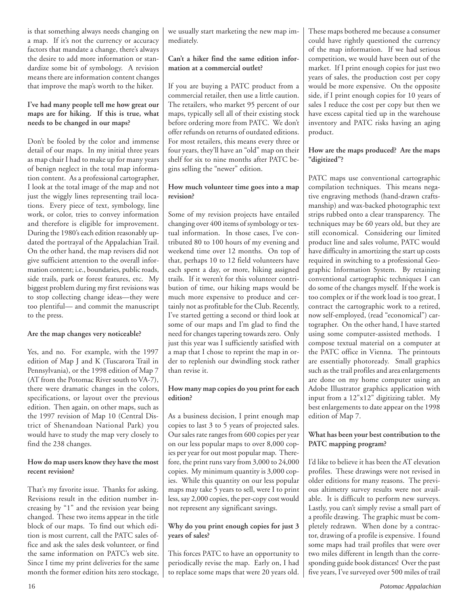is that something always needs changing on a map. If it's not the currency or accuracy factors that mandate a change, there's always the desire to add more information or standardize some bit of symbology. A revision means there are information content changes that improve the map's worth to the hiker.

### **I've had many people tell me how great our maps are for hiking. If this is true, what needs to be changed in our maps?**

Don't be fooled by the color and immense detail of our maps. In my initial three years as map chair I had to make up for many years of benign neglect in the total map information content. As a professional cartographer, I look at the total image of the map and not just the wiggly lines representing trail locations. Every piece of text, symbology, line work, or color, tries to convey information and therefore is eligible for improvement. During the 1980's each edition reasonably updated the portrayal of the Appalachian Trail. On the other hand, the map revisers did not give sufficient attention to the overall information content; i.e., boundaries, public roads, side trails, park or forest features, etc. My biggest problem during my first revisions was to stop collecting change ideas—they were too plentiful— and commit the manuscript to the press.

### **Are the map changes very noticeable?**

Yes, and no. For example, with the 1997 edition of Map J and K (Tuscarora Trail in Pennsylvania), or the 1998 edition of Map 7 (AT from the Potomac River south to VA-7), there were dramatic changes in the colors, specifications, or layout over the previous edition. Then again, on other maps, such as the 1997 revision of Map 10 (Central District of Shenandoan National Park) you would have to study the map very closely to find the 238 changes.

### **How do map users know they have the most recent revision?**

That's my favorite issue. Thanks for asking. Revisions result in the edition number increasing by "1" and the revision year being changed. These two items appear in the title block of our maps. To find out which edition is most current, call the PATC sales office and ask the sales desk volunteer, or find the same information on PATC's web site. Since I time my print deliveries for the same month the former edition hits zero stockage, we usually start marketing the new map immediately.

### **Can't a hiker find the same edition information at a commercial outlet?**

If you are buying a PATC product from a commercial retailer, then use a little caution. The retailers, who market 95 percent of our maps, typically sell all of their existing stock before ordering more from PATC. We don't offer refunds on returns of outdated editions. For most retailers, this means every three or four years, they'll have an "old" map on their shelf for six to nine months after PATC begins selling the "newer" edition.

# **How much volunteer time goes into a map revision?**

Some of my revision projects have entailed changing over 400 items of symbology or textual information. In those cases, I've contributed 80 to 100 hours of my evening and weekend time over 12 months. On top of that, perhaps 10 to 12 field volunteers have each spent a day, or more, hiking assigned trails. If it weren't for this volunteer contribution of time, our hiking maps would be much more expensive to produce and certainly not as profitable for the Club. Recently, I've started getting a second or third look at some of our maps and I'm glad to find the need for changes tapering towards zero. Only just this year was I sufficiently satisfied with a map that I chose to reprint the map in order to replenish our dwindling stock rather than revise it.

# **How many map copies do you print for each edition?**

As a business decision, I print enough map copies to last 3 to 5 years of projected sales. Our sales rate ranges from 600 copies per year on our less popular maps to over 8,000 copies per year for out most popular map. Therefore, the print runs vary from 3,000 to 24,000 copies. My minimum quantity is 3,000 copies. While this quantity on our less popular maps may take 5 years to sell, were I to print less, say 2,000 copies, the per-copy cost would not represent any significant savings.

### **Why do you print enough copies for just 3 years of sales?**

This forces PATC to have an opportunity to periodically revise the map. Early on, I had to replace some maps that were 20 years old.

These maps bothered me because a consumer could have rightly questioned the currency of the map information. If we had serious competition, we would have been out of the market. If I print enough copies for just two years of sales, the production cost per copy would be more expensive. On the opposite side, if I print enough copies for 10 years of sales I reduce the cost per copy but then we have excess capital tied up in the warehouse inventory and PATC risks having an aging product.

# **How are the maps produced? Are the maps "digitized"?**

PATC maps use conventional cartographic compilation techniques. This means negative engraving methods (hand-drawn craftsmanship) and wax-backed photographic text strips rubbed onto a clear transparency. The techniques may be 60 years old, but they are still economical. Considering our limited product line and sales volume, PATC would have difficulty in amortizing the start up costs required in switching to a professional Geographic Information System. By retaining conventional cartographic techniques I can do some of the changes myself. If the work is too complex or if the work load is too great, I contract the cartographic work to a retired, now self-employed, (read "economical") cartographer. On the other hand, I have started using some computer-assisted methods. I compose textual material on a computer at the PATC office in Vienna. The printouts are essentially photoready. Small graphics such as the trail profiles and area enlargements are done on my home computer using an Adobe Illustrator graphics application with input from a 12"x12" digitizing tablet. My best enlargements to date appear on the 1998 edition of Map 7.

# **What has been your best contribution to the PATC mapping program?**

I'd like to believe it has been the AT elevation profiles. These drawings were not revised in older editions for many reasons. The previous altimetry survey results were not available. It is difficult to perform new surveys. Lastly, you can't simply revise a small part of a profile drawing. The graphic must be completely redrawn. When done by a contractor, drawing of a profile is expensive. I found some maps had trail profiles that were over two miles different in length than the corresponding guide book distances! Over the past five years, I've surveyed over 500 miles of trail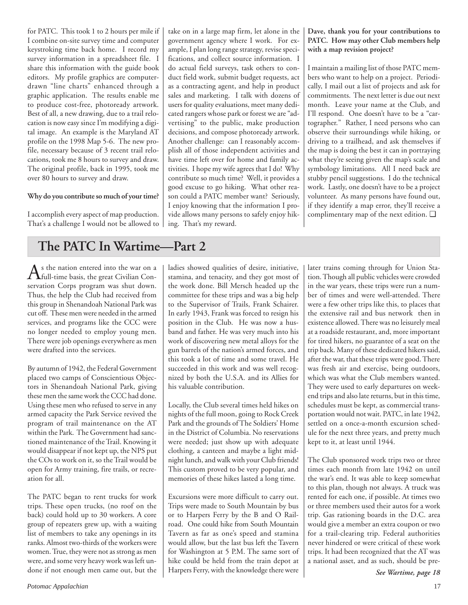for PATC. This took 1 to 2 hours per mile if I combine on-site survey time and computer keystroking time back home. I record my survey information in a spreadsheet file. I share this information with the guide book editors. My profile graphics are computerdrawn "line charts" enhanced through a graphic application. The results enable me to produce cost-free, photoready artwork. Best of all, a new drawing, due to a trail relocation is now easy since I'm modifying a digital image. An example is the Maryland AT profile on the 1998 Map 5-6. The new profile, necessary because of 3 recent trail relocations, took me 8 hours to survey and draw. The original profile, back in 1995, took me over 80 hours to survey and draw.

### **Why do you contribute so much of your time?**

I accomplish every aspect of map production. That's a challenge I would not be allowed to

take on in a large map firm, let alone in the government agency where I work. For example, I plan long range strategy, revise specifications, and collect source information. I do actual field surveys, task others to conduct field work, submit budget requests, act as a contracting agent, and help in product sales and marketing. I talk with dozens of users for quality evaluations, meet many dedicated rangers whose park or forest we are "advertising" to the public, make production decisions, and compose photoready artwork. Another challenge: can I reasonably accomplish all of those independent activities and have time left over for home and family activities. I hope my wife agrees that I do! Why contribute so much time? Well, it provides a good excuse to go hiking. What other reason could a PATC member want? Seriously, I enjoy knowing that the information I provide allows many persons to safely enjoy hiking. That's my reward.

### **Dave, thank you for your contributions to PATC. How may other Club members help with a map revision project?**

I maintain a mailing list of those PATC members who want to help on a project. Periodically, I mail out a list of projects and ask for commitments. The next letter is due out next month. Leave your name at the Club, and I'll respond. One doesn't have to be a "cartographer." Rather, I need persons who can observe their surroundings while hiking, or driving to a trailhead, and ask themselves if the map is doing the best it can in portraying what they're seeing given the map's scale and symbology limitations. All I need back are stubby pencil suggestions. I do the technical work. Lastly, one doesn't have to be a project volunteer. As many persons have found out, if they identify a map error, they'll receive a complimentary map of the next edition. ❑

# **The PATC In Wartime—Part 2**

 $A$ s the nation entered into the war on a chail-time basis, the great Civilian Conservation Corps program was shut down. Thus, the help the Club had received from this group in Shenandoah National Park was cut off. These men were needed in the armed services, and programs like the CCC were no longer needed to employ young men. There were job openings everywhere as men were drafted into the services.

By autumn of 1942, the Federal Government placed two camps of Conscientious Objectors in Shenandoah National Park, giving these men the same work the CCC had done. Using these men who refused to serve in any armed capacity the Park Service revived the program of trail maintenance on the AT within the Park. The Government had sanctioned maintenance of the Trail. Knowing it would disappear if not kept up, the NPS put the COs to work on it, so the Trail would be open for Army training, fire trails, or recreation for all.

The PATC began to rent trucks for work trips. These open trucks, (no roof on the back) could hold up to 30 workers. A core group of repeaters grew up, with a waiting list of members to take any openings in its ranks. Almost two-thirds of the workers were women. True, they were not as strong as men were, and some very heavy work was left undone if not enough men came out, but the ladies showed qualities of desire, initiative, stamina, and tenacity, and they got most of the work done. Bill Mersch headed up the committee for these trips and was a big help to the Supervisor of Trails, Frank Schairer. In early 1943, Frank was forced to resign his position in the Club. He was now a husband and father. He was very much into his work of discovering new metal alloys for the gun barrels of the nation's armed forces, and this took a lot of time and some travel. He succeeded in this work and was well recognized by both the U.S.A. and its Allies for his valuable contribution.

Locally, the Club several times held hikes on nights of the full moon, going to Rock Creek Park and the grounds of The Soldiers' Home in the District of Columbia. No reservations were needed; just show up with adequate clothing, a canteen and maybe a light midnight lunch, and walk with your Club friends! This custom proved to be very popular, and memories of these hikes lasted a long time.

Excursions were more difficult to carry out. Trips were made to South Mountain by bus or to Harpers Ferry by the B and O Railroad. One could hike from South Mountain Tavern as far as one's speed and stamina would allow, but the last bus left the Tavern for Washington at 5 P.M. The same sort of hike could be held from the train depot at Harpers Ferry, with the knowledge there were later trains coming through for Union Station. Though all public vehicles were crowded in the war years, these trips were run a number of times and were well-attended. There were a few other trips like this, to places that the extensive rail and bus network then in existence allowed. There was no leisurely meal at a roadside restaurant, and, more important for tired hikers, no guarantee of a seat on the trip back. Many of these dedicated hikers said, after the war, that these trips were good. There was fresh air and exercise, being outdoors, which was what the Club members wanted. They were used to early departures on weekend trips and also late returns, but in this time, schedules must be kept, as commercial transportation would not wait. PATC, in late 1942, settled on a once-a-month excursion schedule for the next three years, and pretty much kept to it, at least until 1944.

The Club sponsored work trips two or three times each month from late 1942 on until the war's end. It was able to keep somewhat to this plan, though not always. A truck was rented for each one, if possible. At times two or three members used their autos for a work trip. Gas rationing boards in the D.C. area would give a member an extra coupon or two for a trail-clearing trip. Federal authorities never hindered or were critical of these work trips. It had been recognized that the AT was a national asset, and as such, should be pre-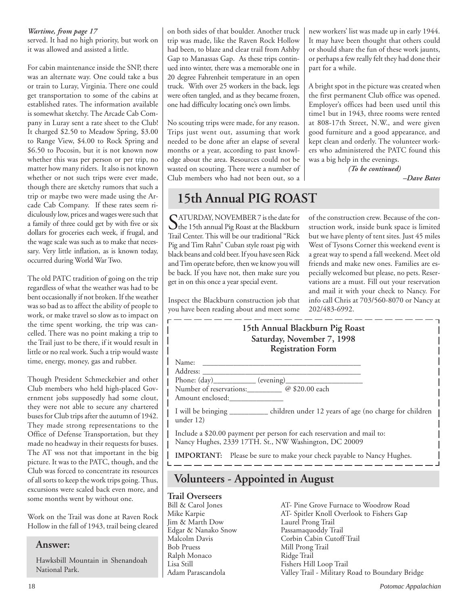# *Wartime, from page 17*

served. It had no high priority, but work on it was allowed and assisted a little.

For cabin maintenance inside the SNP, there was an alternate way. One could take a bus or train to Luray, Virginia. There one could get transportation to some of the cabins at established rates. The information available is somewhat sketchy. The Arcade Cab Company in Luray sent a rate sheet to the Club! It charged \$2.50 to Meadow Spring, \$3.00 to Range View, \$4.00 to Rock Spring and \$6.50 to Pocosin, but it is not known now whether this was per person or per trip, no matter how many riders. It also is not known whether or not such trips were ever made, though there are sketchy rumors that such a trip or maybe two were made using the Arcade Cab Company. If these rates seem ridiculously low, prices and wages were such that a family of three could get by with five or six dollars for groceries each week, if frugal, and the wage scale was such as to make that necessary. Very little inflation, as is known today, occurred during World War Two.

The old PATC tradition of going on the trip regardless of what the weather was had to be bent occasionally if not broken. If the weather was so bad as to affect the ability of people to work, or make travel so slow as to impact on the time spent working, the trip was cancelled. There was no point making a trip to the Trail just to be there, if it would result in little or no real work. Such a trip would waste time, energy, money, gas and rubber.

Though President Schmeckebier and other Club members who held high-placed Government jobs supposedly had some clout, they were not able to secure any chartered buses for Club trips after the autumn of 1942. They made strong representations to the Office of Defense Transportation, but they made no headway in their requests for buses. The AT wss not that important in the big picture. It was to the PATC, though, and the Club was forced to concentrate its resources of all sorts to keep the work trips going. Thus, excursions were scaled back even more, and some months went by without one.

Work on the Trail was done at Raven Rock Hollow in the fall of 1943, trail being cleared

# **Answer:**

Hawksbill Mountain in Shenandoah National Park.

on both sides of that boulder. Another truck trip was made, like the Raven Rock Hollow had been, to blaze and clear trail from Ashby Gap to Manassas Gap. As these trips continued into winter, there was a memorable one in 20 degree Fahrenheit temperature in an open truck. With over 25 workers in the back, legs were often tangled, and as they became frozen, one had difficulty locating one's own limbs.

No scouting trips were made, for any reason. Trips just went out, assuming that work needed to be done after an elapse of several months or a year, according to past knowledge about the area. Resources could not be wasted on scouting. There were a number of Club members who had not been out, so a

# **15th Annual PIG ROAST**

SATURDAY, NOVEMBER 7 is the date for<br>the 15th annual Pig Roast at the Blackburn<br>The Contract Hill and Hill and Shipper Trail Center. This will be our traditional "Rick Pig and Tim Rahn" Cuban style roast pig with black beans and cold beer. If you have seen Rick and Tim operate before, then we know you will be back. If you have not, then make sure you get in on this once a year special event.

Inspect the Blackburn construction job that you have been reading about and meet some new workers' list was made up in early 1944. It may have been thought that others could or should share the fun of these work jaunts, or perhaps a few really felt they had done their part for a while.

A bright spot in the picture was created when the first permanent Club office was opened. Employer's offices had been used until this time1 but in 1943, three rooms were rented at 808-17th Street, N.W., and were given good furniture and a good appearance, and kept clean and orderly. The volunteer workers who administered the PATC found this was a big help in the evenings.

> *(To be continued) –Dave Bates*

of the construction crew. Because of the construction work, inside bunk space is limited but we have plenty of tent sites. Just 45 miles West of Tysons Corner this weekend event is a great way to spend a fall weekend. Meet old friends and make new ones. Families are especially welcomed but please, no pets. Reservations are a must. Fill out your reservation and mail it with your check to Nancy. For info call Chris at 703/560-8070 or Nancy at 202/483-6992.

| 15th Annual Blackburn Pig Roast<br>Saturday, November 7, 1998<br><b>Registration Form</b>                                       |
|---------------------------------------------------------------------------------------------------------------------------------|
| Name:                                                                                                                           |
| Address:<br>Phone: $(\text{day})$ (evening)<br>Number of reservations: @ \$20.00 each<br>Amount enclosed:                       |
| I will be bringing _________ children under 12 years of age (no charge for children<br>under 12)                                |
| Include a \$20.00 payment per person for each reservation and mail to:<br>Nancy Hughes, 2339 17TH. St., NW Washington, DC 20009 |
| <b>IMPORTANT:</b> Please be sure to make your check payable to Nancy Hughes.                                                    |
| <b>Volunteers - Appointed in August</b>                                                                                         |
| $T_{\text{rel}}$ : $\bigcap_{\text{relaxation}}$                                                                                |

# **Trail Overseers**

Jim & Marth Dow Laurel Prong Trail Edgar & Nanako Snow Passamaquoddy Trail Ralph Monaco Ridge Trail

Bill & Carol Jones AT- Pine Grove Furnace to Woodrow Road AT- Spitler Knoll Overlook to Fishers Gap Malcolm Davis Corbin Cabin Cutoff Trail Mill Prong Trail Fishers Hill Loop Trail Adam Parascandola Valley Trail - Military Road to Boundary Bridge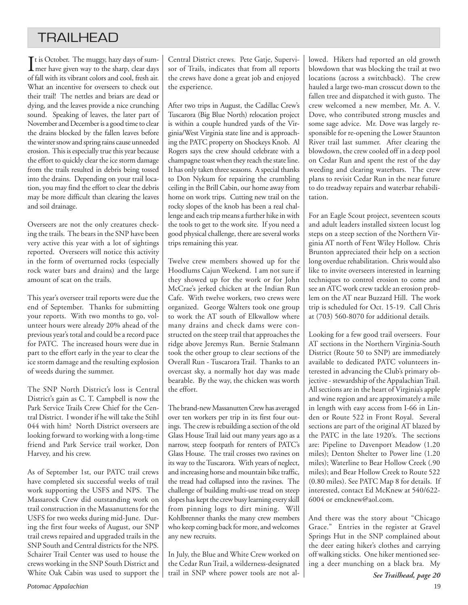# TRAILHEAD

 $\prod$ t is October. The muggy, hazy days of summer have given way to the sharp, clear days mer have given way to the sharp, clear days of fall with its vibrant colors and cool, fresh air. What an incentive for overseers to check out their trail! The nettles and briars are dead or dying, and the leaves provide a nice crunching sound. Speaking of leaves, the later part of November and December is a good time to clear the drains blocked by the fallen leaves before the winter snow and spring rains cause unneeded erosion. This is especially true this year because the effort to quickly clear the ice storm damage from the trails resulted in debris being tossed into the drains. Depending on your trail location, you may find the effort to clear the debris may be more difficult than clearing the leaves and soil drainage.

Overseers are not the only creatures checking the trails. The bears in the SNP have been very active this year with a lot of sightings reported. Overseers will notice this activity in the form of overturned rocks (especially rock water bars and drains) and the large amount of scat on the trails.

This year's overseer trail reports were due the end of September. Thanks for submitting your reports. With two months to go, volunteer hours were already 20% ahead of the previous year's total and could be a record pace for PATC. The increased hours were due in part to the effort early in the year to clear the ice storm damage and the resulting explosion of weeds during the summer.

The SNP North District's loss is Central District's gain as C. T. Campbell is now the Park Service Trails Crew Chief for the Central District. I wonder if he will take the Stihl 044 with him? North District overseers are looking forward to working with a long-time friend and Park Service trail worker, Don Harvey, and his crew.

As of September 1st, our PATC trail crews have completed six successful weeks of trail work supporting the USFS and NPS. The Massarock Crew did outstanding work on trail construction in the Massanuttens for the USFS for two weeks during mid-June. During the first four weeks of August, our SNP trail crews repaired and upgraded trails in the SNP South and Central districts for the NPS. Schairer Trail Center was used to house the crews working in the SNP South District and White Oak Cabin was used to support the Central District crews. Pete Gatje, Supervisor of Trails, indicates that from all reports the crews have done a great job and enjoyed the experience.

After two trips in August, the Cadillac Crew's Tuscarora (Big Blue North) relocation project is within a couple hundred yards of the Virginia/West Virginia state line and is approaching the PATC property on Shockeys Knob. Al Rogers says the crew should celebrate with a champagne toast when they reach the state line. It has only taken three seasons. A special thanks to Don Nykum for repairing the crumbling ceiling in the Brill Cabin, our home away from home on work trips. Cutting new trail on the rocky slopes of the knob has been a real challenge and each trip means a further hike in with the tools to get to the work site. If you need a good physical challenge, there are several works trips remaining this year.

Twelve crew members showed up for the Hoodlums Cajun Weekend. I am not sure if they showed up for the work or for John McCrae's jerked chicken at the Indian Run Cafe. With twelve workers, two crews were organized. George Walters took one group to work the AT south of Elkwallow where many drains and check dams were constructed on the steep trail that approaches the ridge above Jeremys Run. Bernie Stalmann took the other group to clear sections of the Overall Run - Tuscarora Trail. Thanks to an overcast sky, a normally hot day was made bearable. By the way, the chicken was worth the effort.

The brand-new Massanutten Crew has averaged over ten workers per trip in its first four outings. The crew is rebuilding a section of the old Glass House Trail laid out many years ago as a narrow, steep footpath for renters of PATC's Glass House. The trail crosses two ravines on its way to the Tuscarora. With years of neglect, and increasing horse and mountain bike traffic, the tread had collapsed into the ravines. The challenge of building multi-use tread on steep slopes has kept the crew busy learning every skill from pinning logs to dirt mining. Will Kohlbrenner thanks the many crew members who keep coming back for more, and welcomes any new recruits.

In July, the Blue and White Crew worked on the Cedar Run Trail, a wilderness-designated trail in SNP where power tools are not allowed. Hikers had reported an old growth blowdown that was blocking the trail at two locations (across a switchback). The crew hauled a large two-man crosscut down to the fallen tree and dispatched it with gusto. The crew welcomed a new member, Mr. A. V. Dove, who contributed strong muscles and some sage advice. Mr. Dove was largely responsible for re-opening the Lower Staunton River trail last summer. After clearing the blowdown, the crew cooled off in a deep pool on Cedar Run and spent the rest of the day weeding and clearing waterbars. The crew plans to revisit Cedar Run in the near future to do treadway repairs and waterbar rehabilitation.

For an Eagle Scout project, seventeen scouts and adult leaders installed sixteen locust log steps on a steep section of the Northern Virginia AT north of Fent Wiley Hollow. Chris Brunton appreciated their help on a section long overdue rehabilitation. Chris would also like to invite overseers interested in learning techniques to control erosion to come and see an ATC work crew tackle an erosion problem on the AT near Buzzard Hill. The work trip is scheduled for Oct. 15-19. Call Chris at (703) 560-8070 for additional details.

Looking for a few good trail overseers. Four AT sections in the Northern Virginia-South District (Route 50 to SNP) are immediately available to dedicated PATC volunteers interested in advancing the Club's primary objective - stewardship of the Appalachian Trail. All sections are in the heart of Virginia's apple and wine region and are approximately a mile in length with easy access from I-66 in Linden or Route 522 in Front Royal. Several sections are part of the original AT blazed by the PATC in the late 1920's. The sections are: Pipeline to Davenport Meadow (1.20 miles); Denton Shelter to Power line (1.20 miles); Waterline to Bear Hollow Creek (.90 miles); and Bear Hollow Creek to Route 522 (0.80 miles). See PATC Map 8 for details. If interested, contact Ed McKnew at 540/622- 6004 or emcknew@aol.com.

And there was the story about "Chicago Grace." Entries in the register at Gravel Springs Hut in the SNP complained about the deer eating hiker's clothes and carrying off walking sticks. One hiker mentioned seeing a deer munching on a black bra. My